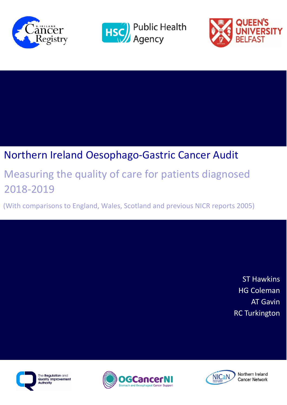





# Northern Ireland Oesophago-Gastric Cancer Audit

# Measuring the quality of care for patients diagnosed <sup>a</sup>2018-2019

(With comparisons to England, Wales, Scotland and previous NICR reports 2005)

ST Hawkins HG Coleman AT Gavin RC Turkington





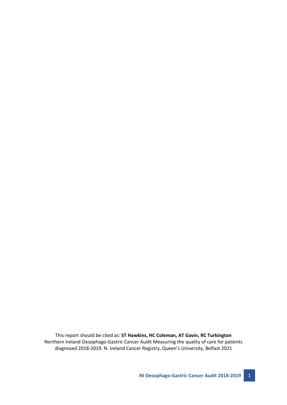This report should be cited as: **ST Hawkins, HC Coleman, AT Gavin, RC Turkington** Northern Ireland Oesophago-Gastric Cancer Audit Measuring the quality of care for patients diagnosed 2018-2019. N. Ireland Cancer Registry, Queen's University, Belfast 2021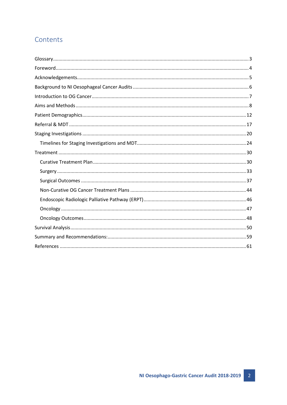# Contents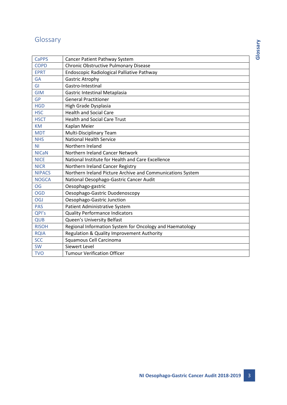# Glossary

| <b>CaPPS</b>  | Cancer Patient Pathway System                              |
|---------------|------------------------------------------------------------|
| <b>COPD</b>   | <b>Chronic Obstructive Pulmonary Disease</b>               |
| <b>EPRT</b>   | Endoscopic Radiological Palliative Pathway                 |
| GA            | <b>Gastric Atrophy</b>                                     |
| GI            | Gastro-Intestinal                                          |
| <b>GIM</b>    | Gastric Intestinal Metaplasia                              |
| <b>GP</b>     | <b>General Practitioner</b>                                |
| <b>HGD</b>    | High Grade Dysplasia                                       |
| <b>HSC</b>    | <b>Health and Social Care</b>                              |
| <b>HSCT</b>   | <b>Health and Social Care Trust</b>                        |
| <b>KM</b>     | Kaplan Meier                                               |
| <b>MDT</b>    | Multi-Disciplinary Team                                    |
| <b>NHS</b>    | <b>National Health Service</b>                             |
| <b>NI</b>     | Northern Ireland                                           |
| <b>NICaN</b>  | Northern Ireland Cancer Network                            |
| <b>NICE</b>   | National Institute for Health and Care Excellence          |
| <b>NICR</b>   | Northern Ireland Cancer Registry                           |
| <b>NIPACS</b> | Northern Ireland Picture Archive and Communications System |
| <b>NOGCA</b>  | National Oesophago-Gastric Cancer Audit                    |
| <b>OG</b>     | Oesophago-gastric                                          |
| <b>OGD</b>    | Oesophago-Gastric Duodenoscopy                             |
| <b>OGJ</b>    | Oesophago-Gastric Junction                                 |
| <b>PAS</b>    | Patient Administrative System                              |
| QPI's         | <b>Quality Performance Indicators</b>                      |
| QUB           | Queen's University Belfast                                 |
| <b>RISOH</b>  | Regional Information System for Oncology and Haematology   |
| <b>RQIA</b>   | Regulation & Quality Improvement Authority                 |
| <b>SCC</b>    | Squamous Cell Carcinoma                                    |
| <b>SW</b>     | Siewert Level                                              |
| <b>TVO</b>    | <b>Tumour Verification Officer</b>                         |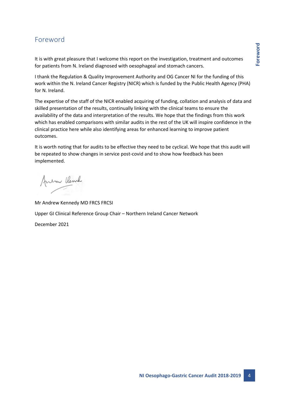# Foreword

I thank the Regulation & Quality Improvement Authority and OG Cancer NI for the funding of this work within the N. Ireland Cancer Registry (NICR) which is funded by the Public Health Agency (PHA) for N. Ireland.

The expertise of the staff of the NICR enabled acquiring of funding, collation and analysis of data and skilled presentation of the results, continually linking with the clinical teams to ensure the availability of the data and interpretation of the results. We hope that the findings from this work which has enabled comparisons with similar audits in the rest of the UK will inspire confidence in the clinical practice here while also identifying areas for enhanced learning to improve patient outcomes.

It is worth noting that for audits to be effective they need to be cyclical. We hope that this audit will be repeated to show changes in service post-covid and to show how feedback has been implemented.

Arrow Clearl

Mr Andrew Kennedy MD FRCS FRCSI Upper GI Clinical Reference Group Chair – Northern Ireland Cancer Network December 2021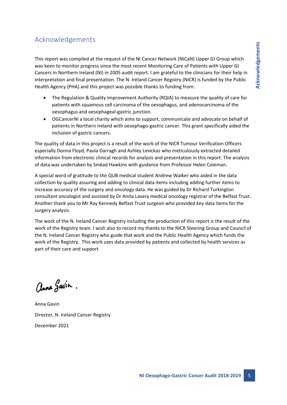# Acknowledgements

This report was compiled at the request of the NI Cancer Network (NICaN) Upper GI Group which was keen to monitor progress since the most recent Monitoring Care of Patients with Upper GI Cancers in Northern Ireland (NI) in 2005 audit report. I am grateful to the clinicians for their help in interpretation and final presentation. The N. Ireland Cancer Registry (NICR) is funded by the Public Health Agency (PHA) and this project was possible thanks to funding from:

- The Regulation & Quality Improvement Authority (RQIA) to measure the quality of care for patients with squamous cell carcinoma of the oesophagus, and adenocarcinoma of the oesophagus and oesophageal-gastric junction.
- OGCancerNI a local charity which aims to support, communicate and advocate on behalf of patients in Northern Ireland with oesophago-gastric cancer. This grant specifically aided the inclusion of gastric cancers.

The quality of data in this project is a result of the work of the NICR Tumour Verification Officers especially Donna Floyd, Paula Darragh and Ashley Levickas who meticulously extracted detailed information from electronic clinical records for analysis and presentation in this report. The analysis of data was undertaken by Sinéad Hawkins with guidance from Professor Helen Coleman.

A special word of gratitude to the QUB medical student Andrew Walker who aided in the data collection by quality assuring and adding to clinical data items including adding further items to increase accuracy of the surgery and oncology data. He was guided by Dr Richard Turkington consultant oncologist and assisted by Dr Anita Lavery medical oncology registrar of the Belfast Trust. Another thank you to Mr Ray Kennedy Belfast Trust surgeon who provided key data items for the surgery analysis.

The work of the N. Ireland Cancer Registry including the production of this report is the result of the work of the Registry team. I wish also to record my thanks to the NICR Steering Group and Council of the N. Ireland Cancer Registry who guide that work and the Public Health Agency which funds the work of the Registry. This work uses data provided by patients and collected by health services as part of their care and support

Anna Gavin.

Anna Gavin Director, N. Ireland Cancer Registry December 2021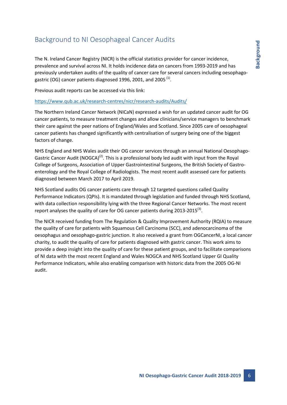# Background to NI Oesophageal Cancer Audits

The N. Ireland Cancer Registry (NICR) is the official statistics provider for cancer incidence, prevalence and survival across NI. It holds incidence data on cancers from 1993-2019 and has previously undertaken audits of the quality of cancer care for several cancers including oesophagogastric (OG) cancer patients diagnosed 1996, 2001, and 2005  $^{(1)}$ .

Previous audit reports can be accessed via this link:

# https://www.qub.ac.uk/research-centres/nicr/research-audits/Audits/

The Northern Ireland Cancer Network (NICaN) expressed a wish for an updated cancer audit for OG cancer patients, to measure treatment changes and allow clinicians/service managers to benchmark their care against the peer nations of England/Wales and Scotland. Since 2005 care of oesophageal cancer patients has changed significantly with centralisation of surgery being one of the biggest factors of change.

NHS England and NHS Wales audit their OG cancer services through an annual National Oesophago-Gastric Cancer Audit (NOGCA)<sup>(2)</sup>. This is a professional body led audit with input from the Royal College of Surgeons, Association of Upper Gastrointestinal Surgeons, the British Society of Gastroenterology and the Royal College of Radiologists. The most recent audit assessed care for patients diagnosed between March 2017 to April 2019.

NHS Scotland audits OG cancer patients care through 12 targeted questions called Quality Performance Indicators (QPIs). It is mandated through legislation and funded through NHS Scotland, with data collection responsibility lying with the three Regional Cancer Networks. The most recent report analyses the quality of care for OG cancer patients during 2013-2015<sup>(3)</sup>.

The NICR received funding from The Regulation & Quality Improvement Authority (RQIA) to measure the quality of care for patients with Squamous Cell Carcinoma (SCC), and adenocarcinoma of the oesophagus and oesophago-gastric junction. It also received a grant from OGCancerNI, a local cancer charity, to audit the quality of care for patients diagnosed with gastric cancer. This work aims to provide a deep insight into the quality of care for these patient groups, and to facilitate comparisons of NI data with the most recent England and Wales NOGCA and NHS Scotland Upper GI Quality Performance Indicators, while also enabling comparison with historic data from the 2005 OG-NI audit.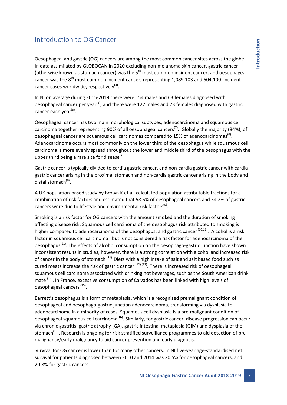# Introduction to OG Cancer

Oesophageal and gastric (OG) cancers are among the most common cancer sites across the globe. In data assimilated by GLOBOCAN in 2020 excluding non-melanoma skin cancer, gastric cancer (otherwise known as stomach cancer) was the  $5<sup>th</sup>$  most common incident cancer, and oesophageal cancer was the  $8<sup>th</sup>$  most common incident cancer, representing 1,089,103 and 604,100 incident cancer cases worldwide, respectively<sup>(4)</sup>.

In NI on average during 2015-2019 there were 154 males and 63 females diagnosed with oesophageal cancer per year<sup>(5)</sup>, and there were 127 males and 73 females diagnosed with gastric cancer each year<sup>(6)</sup>.

Oesophageal cancer has two main morphological subtypes; adenocarcinoma and squamous cell carcinoma together representing 90% of all oesophageal cancers<sup>(7)</sup>. Globally the majority (84%), of oesophageal cancer are squamous cell carcinomas compared to 15% of adenocarcinomas<sup>(8)</sup>. Adenocarcinoma occurs most commonly on the lower third of the oesophagus while squamous cell carcinoma is more evenly spread throughout the lower and middle third of the oesophagus with the upper third being a rare site for disease $^{(7)}$ .

Gastric cancer is typically divided to cardia gastric cancer, and non-cardia gastric cancer with cardia gastric cancer arising in the proximal stomach and non-cardia gastric cancer arising in the body and distal stomach<sup>(8)</sup>.

A UK population-based study by Brown K et al, calculated population attributable fractions for a combination of risk factors and estimated that 58.5% of oesophageal cancers and 54.2% of gastric cancers were due to lifestyle and environmental risk factors<sup>(9)</sup>.

Smoking is a risk factor for OG cancers with the amount smoked and the duration of smoking affecting disease risk. Squamous cell carcinoma of the oesophagus risk attributed to smoking is higher compared to adenocarcinoma of the oesophagus, and gastric cancer<sup> $(10,11)$ </sup>. Alcohol is a risk factor in squamous cell carcinoma , but is not considered a risk factor for adenocarcinoma of the oesophagus<sup>(11)</sup>. The effects of alcohol consumption on the oesophago-gastric junction have shown inconsistent results in studies, however, there is a strong correlation with alcohol and increased risk of cancer in the body of stomach <sup>(11).</sup> Diets with a high intake of salt and salt based food such as cured meats increase the risk of gastric cancer  $(12)(13)$ . There is increased risk of oesophageal squamous cell carcinoma associated with drinking hot beverages, such as the South American drink maté<sup>(14)</sup>. In France, excessive consumption of Calvados has been linked with high levels of oesophageal cancers<sup>(15)</sup>.

Barrett's oesophagus is a form of metaplasia, which is a recognised premalignant condition of oesophageal and oesophago-gastric junction adenocarcinoma, transforming via dysplasia to adenocarcinoma in a minority of cases. Squamous cell dysplasia is a pre-malignant condition of oesophageal squamous cell carcinoma<sup>(16)</sup>. Similarly, for gastric cancer, disease progression can occur via chronic gastritis, gastric atrophy (GA), gastric intestinal metaplasia (GIM) and dysplasia of the stomach<sup>(17)</sup>. Research is ongoing for risk stratified surveillance programmes to aid detection of premalignancy/early malignancy to aid cancer prevention and early diagnosis.

Survival for OG cancer is lower than for many other cancers. In NI five-year age-standardised net survival for patients diagnosed between 2010 and 2014 was 20.5% for oesophageal cancers, and 20.8% for gastric cancers.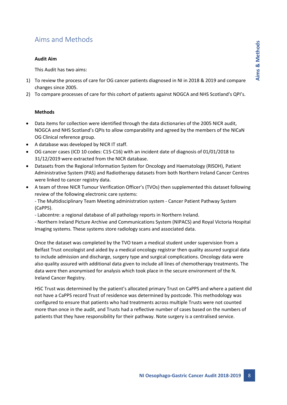# Aims and Methods

# **Audit Aim**

This Audit has two aims:

- 1) To review the process of care for OG cancer patients diagnosed in NI in 2018 & 2019 and compare changes since 2005.
- 2) To compare processes of care for this cohort of patients against NOGCA and NHS Scotland's QPI's.

# **Methods**

- Data items for collection were identified through the data dictionaries of the 2005 NICR audit, NOGCA and NHS Scotland's QPIs to allow comparability and agreed by the members of the NICaN OG Clinical reference group.
- A database was developed by NICR IT staff.
- OG cancer cases (ICD 10 codes: C15-C16) with an incident date of diagnosis of 01/01/2018 to 31/12/2019 were extracted from the NICR database.
- Datasets from the Regional Information System for Oncology and Haematology (RISOH), Patient Administrative System (PAS) and Radiotherapy datasets from both Northern Ireland Cancer Centres were linked to cancer registry data.
- A team of three NICR Tumour Verification Officer's (TVOs) then supplemented this dataset following review of the following electronic care systems:

- The Multidisciplinary Team Meeting administration system - Cancer Patient Pathway System (CaPPS).

- Labcentre: a regional database of all pathology reports in Northern Ireland.

- Northern Ireland Picture Archive and Communications System (NIPACS) and Royal Victoria Hospital Imaging systems. These systems store radiology scans and associated data.

Once the dataset was completed by the TVO team a medical student under supervision from a Belfast Trust oncologist and aided by a medical oncology registrar then quality assured surgical data to include admission and discharge, surgery type and surgical complications. Oncology data were also quality assured with additional data given to include all lines of chemotherapy treatments. The data were then anonymised for analysis which took place in the secure environment of the N. Ireland Cancer Registry.

HSC Trust was determined by the patient's allocated primary Trust on CaPPS and where a patient did not have a CaPPS record Trust of residence was determined by postcode. This methodology was configured to ensure that patients who had treatments across multiple Trusts were not counted more than once in the audit, and Trusts had a reflective number of cases based on the numbers of patients that they have responsibility for their pathway. Note surgery is a centralised service.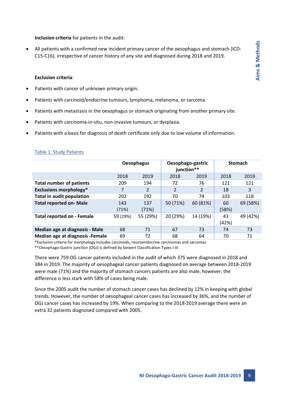**Inclusion criteria** for patients in the audit:

 All patients with a confirmed new incident primary cancer of the oesophagus and stomach (ICD-C15-C16), irrespective of cancer history of any site and diagnosed during 2018 and 2019.

#### **Exclusion criteria**:

- Patients with cancer of unknown primary origin.
- Patients with carcinoid/endocrine tumours, lymphoma, melanoma, or sarcoma.
- Patients with metastasis in the oesophagus or stomach originating from another primary site.
- Patients with carcinoma-in-situ, non-invasive tumours, or dysplasia.
- Patients with a basis for diagnosis of death certificate only due to low volume of information.

|                                   | <b>Oesophagus</b> |              | Oesophago-gastric<br>junction** |          | <b>Stomach</b> |          |
|-----------------------------------|-------------------|--------------|---------------------------------|----------|----------------|----------|
|                                   | 2018              | 2019         | 2018                            | 2019     | 2018           | 2019     |
| <b>Total number of patients</b>   | 209               | 194          | 72                              | 76       | 121            | 121      |
| <b>Exclusions morphology*</b>     | 7                 | 2            | $\overline{2}$                  | 2        | 18             | 3        |
| <b>Total in audit population</b>  | 202               | 192          | 70                              | 74       | 103            | 118      |
| <b>Total reported on- Male</b>    | 143<br>(71%)      | 137<br>(71%) | 50 (71%)                        | 60 (81%) | 60<br>(58%)    | 69 (58%) |
| <b>Total reported on - Female</b> | 59 (29%)          | 55 (29%)     | 20 (29%)                        | 14 (19%) | 43<br>(42%)    | 49 (42%) |
| Median age at diagnosis - Male    | 68                | 71           | 67                              | 73       | 74             | 73       |
| Median age at diagnosis -Female   | 69                | 72           | 68                              | 64       | 70             | 71       |

#### Table 1: Study Patients

\*Exclusion criteria for morphology includes carcinoids, neuroendocrine carcinomas and sarcomas

\*\*Oesophago-Gastric junction (OGJ) is defined by Siewert Classification Types I-III

There were 759 OG cancer patients included in the audit of which 375 were diagnosed in 2018 and 384 in 2019. The majority of oesophageal cancer patients diagnosed on average between 2018-2019 were male (71%) and the majority of stomach cancers patients are also male, however, the difference is less stark with 58% of cases being male.

Since the 2005 audit the number of stomach cancer cases has declined by 12% in keeping with global trends. However, the number of oesophageal cancer cases has increased by 36%, and the number of OGJ cancer cases has increased by 19%. When comparing to the 2018-2019 average there were an extra 32 patients diagnosed compared with 2005.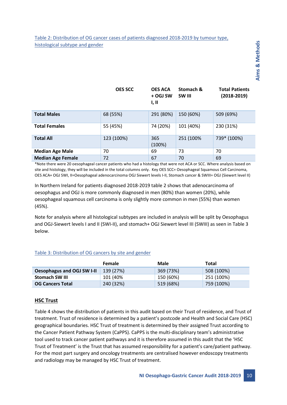Table 2: Distribution of OG cancer cases of patients diagnosed 2018-2019 by tumour type, histological subtype and gender

|                          | <b>OES SCC</b> | <b>OES ACA</b><br>$+$ OGJ SW<br>I, II | Stomach &<br>SW III | <b>Total Patients</b><br>$(2018-2019)$ |
|--------------------------|----------------|---------------------------------------|---------------------|----------------------------------------|
| <b>Total Males</b>       | 68 (55%)       | 291 (80%)                             | 150 (60%)           | 509 (69%)                              |
| <b>Total Females</b>     | 55 (45%)       | 74 (20%)                              | 101 (40%)           | 230 (31%)                              |
| <b>Total All</b>         | 123 (100%)     | 365<br>(100%)                         | 251 (100%           | 739* (100%)                            |
| <b>Median Age Male</b>   | 70             | 69                                    | 73                  | 70                                     |
| <b>Median Age Female</b> | 72             | 67                                    | 70                  | 69                                     |

\*Note there were 20 oesophageal cancer patients who had a histology that were not ACA or SCC. Where analysis based on site and histology, they will be included in the total columns only. Key OES SCC= Oesophageal Squamous Cell Carcinoma, OES ACA+ OGJ SWI, II=Oesophageal adenocarcinoma OGJ Siewert levels I-II, Stomach cancer & SWIII= OGJ (Siewert level II)

In Northern Ireland for patients diagnosed 2018-2019 table 2 shows that adenocarcinoma of oesophagus and OGJ is more commonly diagnosed in men (80%) than women (20%), while oesophageal squamous cell carcinoma is only slightly more common in men (55%) than women (45%).

Note for analysis where all histological subtypes are included in analysis will be split by Oesophagus and OGJ-Siewert levels I and II (SWI-II), and stomach+ OGJ Siewert level III (SWIII) as seen in Table 3 below.

| Table 3: Distribution of OG cancers by site and gender |  |  |
|--------------------------------------------------------|--|--|
|                                                        |  |  |

|                                   | <b>Female</b> | Male      | Total      |
|-----------------------------------|---------------|-----------|------------|
| <b>Oesophagus and OGJ SW I-II</b> | 139 (27%)     | 369 (73%) | 508 (100%) |
| <b>Stomach SW III</b>             | 101 (40%      | 150 (60%) | 251 (100%) |
| <b>OG Cancers Total</b>           | 240 (32%)     | 519 (68%) | 759 (100%) |

# **HSC Trust**

Table 4 shows the distribution of patients in this audit based on their Trust of residence, and Trust of treatment. Trust of residence is determined by a patient's postcode and Health and Social Care (HSC) geographical boundaries. HSC Trust of treatment is determined by their assigned Trust according to the Cancer Patient Pathway System (CaPPS). CaPPS is the multi-disciplinary team's administrative tool used to track cancer patient pathways and it is therefore assumed in this audit that the 'HSC Trust of Treatment' is the Trust that has assumed responsibility for a patient's care/patient pathway. For the most part surgery and oncology treatments are centralised however endoscopy treatments and radiology may be managed by HSC Trust of treatment.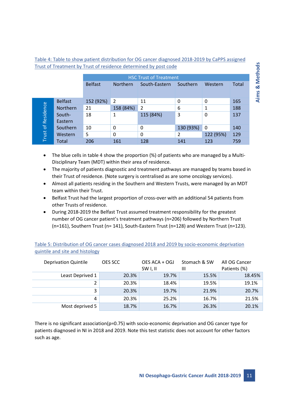Table 4: Table to show patient distribution for OG cancer diagnosed 2018-2019 by CaPPS assigned Trust of Treatment by Trust of residence determined by post code

|                    |                | <b>HSC Trust of Treatment</b> |                 |               |                |           |              |
|--------------------|----------------|-------------------------------|-----------------|---------------|----------------|-----------|--------------|
|                    |                | <b>Belfast</b>                | <b>Northern</b> | South-Eastern | Southern       | Western   | <b>Total</b> |
|                    |                |                               |                 |               |                |           |              |
|                    | <b>Belfast</b> | 152 (92%)                     | $\overline{2}$  | 11            | 0              | 0         | 165          |
|                    | Northern       | 21                            | 158 (84%)       | $\mathcal{P}$ | 6              | 1         | 188          |
| Trust of Residence | South-         | 18                            | 1               | 115 (84%)     | 3              | 0         | 137          |
|                    | Eastern        |                               |                 |               |                |           |              |
|                    | Southern       | 10                            | 0               | 0             | 130 (93%)      | $\Omega$  | 140          |
|                    | Western        | 5                             | 0               | $\mathbf 0$   | $\overline{2}$ | 122 (95%) | 129          |
|                    | <b>Total</b>   | 206                           | 161             | 128           | 141            | 123       | 759          |

- The blue cells in table 4 show the proportion (%) of patients who are managed by a Multi-Disciplinary Team (MDT) within their area of residence.
- The majority of patients diagnostic and treatment pathways are managed by teams based in their Trust of residence. (Note surgery is centralised as are some oncology services).
- Almost all patients residing in the Southern and Western Trusts, were managed by an MDT team within their Trust.
- Belfast Trust had the largest proportion of cross-over with an additional 54 patients from other Trusts of residence.
- During 2018-2019 the Belfast Trust assumed treatment responsibility for the greatest number of OG cancer patient's treatment pathways (n=206) followed by Northern Trust (n=161), Southern Trust (n= 141), South-Eastern Trust (n=128) and Western Trust (n=123).

Table 5: Distribution of OG cancer cases diagnosed 2018 and 2019 by socio-economic deprivation quintile and site and histology

| <b>Deprivation Quintile</b> | OES SCC | OES ACA + OGJ<br>SW I, II | Stomach & SW<br>Ш | All OG Cancer<br>Patients (%) |
|-----------------------------|---------|---------------------------|-------------------|-------------------------------|
| Least Deprived 1            | 20.3%   | 19.7%                     | 15.5%             | 18.45%                        |
| 2                           | 20.3%   | 18.4%                     | 19.5%             | 19.1%                         |
| 3                           | 20.3%   | 19.7%                     | 21.9%             | 20.7%                         |
| 4                           | 20.3%   | 25.2%                     | 16.7%             | 21.5%                         |
| Most deprived 5             | 18.7%   | 16.7%                     | 26.3%             | 20.1%                         |

There is no significant association(p=0.75) with socio-economic deprivation and OG cancer type for patients diagnosed in NI in 2018 and 2019. Note this test statistic does not account for other factors such as age.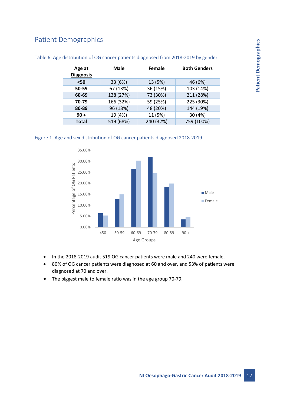# Patient Demographics

| Age at<br><b>Diagnosis</b> | Male      | Female    | <b>Both Genders</b> |
|----------------------------|-----------|-----------|---------------------|
| < 50                       | 33 (6%)   | 13 (5%)   | 46 (6%)             |
| 50-59                      | 67 (13%)  | 36 (15%)  | 103 (14%)           |
| 60-69                      | 138 (27%) | 73 (30%)  | 211 (28%)           |
| 70-79                      | 166 (32%) | 59 (25%)  | 225 (30%)           |
| 80-89                      | 96 (18%)  | 48 (20%)  | 144 (19%)           |
| $90 +$                     | 19 (4%)   | 11 (5%)   | 30 (4%)             |
| <b>Total</b>               | 519 (68%) | 240 (32%) | 759 (100%)          |

#### Table 6: Age distribution of OG cancer patients diagnosed from 2018-2019 by gender

#### Figure 1. Age and sex distribution of OG cancer patients diagnosed 2018-2019



- In the 2018-2019 audit 519 OG cancer patients were male and 240 were female.
- 80% of OG cancer patients were diagnosed at 60 and over, and 53% of patients were diagnosed at 70 and over.
- The biggest male to female ratio was in the age group 70-79.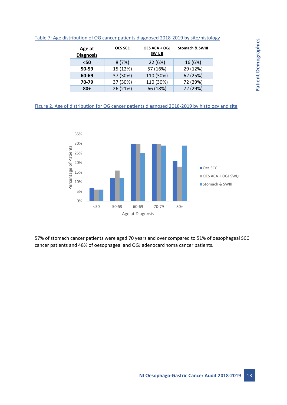| Age at<br><b>Diagnosis</b> | <b>OES SCC</b> | OES ACA + OGJ<br>SW I, II | <b>Stomach &amp; SWIII</b> |
|----------------------------|----------------|---------------------------|----------------------------|
| $50$                       | 8(7%)          | 22 (6%)                   | 16 (6%)                    |
| 50-59                      | 15 (12%)       | 57 (16%)                  | 29 (12%)                   |
| 60-69                      | 37 (30%)       | 110 (30%)                 | 62 (25%)                   |
| 70-79                      | 37 (30%)       | 110 (30%)                 | 72 (29%)                   |
| $80+$                      | 26 (21%)       | 66 (18%)                  | 72 (29%)                   |

#### Table 7: Age distribution of OG cancer patients diagnosed 2018-2019 by site/histology

#### Figure 2. Age of distribution for OG cancer patients diagnosed 2018-2019 by histology and site



57% of stomach cancer patients were aged 70 years and over compared to 51% of oesophageal SCC cancer patients and 48% of oesophageal and OGJ adenocarcinoma cancer patients.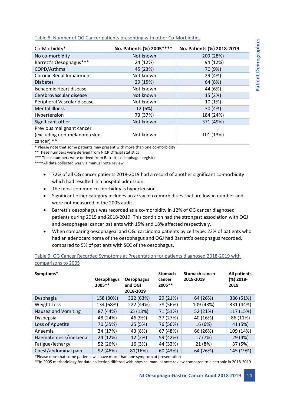#### Table 8: Number of OG Cancer patients presenting with other Co-Morbidities

| Co-Morbidity*                                                           | No. Patients (%) 2005 **** | No. Patients (%) 2018-2019 |
|-------------------------------------------------------------------------|----------------------------|----------------------------|
| No co-morbidity                                                         | Not known                  | 209 (28%)                  |
| Barrett's Oesophagus***                                                 | 24 (12%)                   | 94 (12%)                   |
| COPD/Asthma                                                             | 45 (23%)                   | 70 (9%)                    |
| <b>Chronic Renal Impairment</b>                                         | Not known                  | 29 (4%)                    |
| <b>Diabetes</b>                                                         | 29 (15%)                   | 64 (8%)                    |
| Ischaemic Heart disease                                                 | Not known                  | 44 (6%)                    |
| Cerebrovascular disease                                                 | Not known                  | 15 (2%)                    |
| Peripheral Vascular disease                                             | Not known                  | 10 (1%)                    |
| <b>Mental Illness</b>                                                   | 12 (6%)                    | 30 (4%)                    |
| Hypertension                                                            | 73 (37%)                   | 184 (24%)                  |
| Significant other                                                       | Not known                  | 371 (49%)                  |
| Previous malignant cancer<br>(excluding non-melanoma skin<br>cancer) ** | Not known                  | 101 (13%)                  |

\* Please note that some patients may present with more than one co-morbidity

\*\*These numbers were derived from NICR Official statistics

\*\*\* These numbers were derived from Barrett's oesophagus register

\*\*\*\*All data collected was via manual note review

- 72% of all OG cancer patients 2018-2019 had a record of another significant co-morbidity which had resulted in a hospital admission.
- The most common co-morbidity is hypertension.
- Significant other category includes an array of co-morbidities that are low in number and were not measured in the 2005 audit.
- Barrett's oesophagus was recorded as a co-morbidity in 12% of OG cancer diagnosed patients during 2015 and 2018-2019. This condition had the strongest association with OGJ and oesophageal cancer patients with 15% and 18% affected respectively.
- When comparing oesophageal and OGJ carcinoma patients by cell type: 22% of patients who had an adenocarcinoma of the oesophagus and OGJ had Barrett's oesophagus recorded, compared to 5% of patients with SCC of the oesophagus.

# Table 9: OG Cancer Recorded Symptoms at Presentation for patients diagnosed 2018-2019 with comparisons to 2005

| Symptoms*            | <b>Oesophagus</b><br>$2005**$ | Oesophagus<br>and OGJ<br>2018-2019 | <b>Stomach</b><br>cancer<br>2005 ** | <b>Stomach cancer</b><br>2018-2019 | <b>All patients</b><br>(%) 2018-<br>2019 |
|----------------------|-------------------------------|------------------------------------|-------------------------------------|------------------------------------|------------------------------------------|
| Dysphagia            | 158 (80%)                     | 322 (63%)                          | 29 (21%)                            | 64 (26%)                           | 386 (51%)                                |
| <b>Weight Loss</b>   | 134 (68%)                     | 222 (44%)                          | 78 (56%)                            | 109 (43%)                          | 331 (44%)                                |
| Nausea and Vomiting  | 87 (44%)                      | 65 (13%)                           | 71 (51%)                            | 52 (21%)                           | 117 (15%)                                |
| Dyspepsia            | 48 (24%)                      | 46 (9%)                            | 37 (27%)                            | 40 (16%)                           | 86 (11%)                                 |
| Loss of Appetite     | 70 (35%)                      | 25 (5%)                            | 76 (56%)                            | 16 (6%)                            | 41 (5%)                                  |
| Anaemia              | 34 (17%)                      | 43 (8%)                            | 67 (48%)                            | 66 (26%)                           | 109 (14%)                                |
| Haematemesis/melaena | 24 (12%)                      | 12 (2%)                            | 59 (42%)                            | 17 (7%)                            | 29 (4%)                                  |
| Fatigue/lethargy     | 52 (26%)                      | 16 (3%)                            | 44 (32%)                            | 21 (8%)                            | 37 (5%)                                  |
| Chest/abdominal pain | 92 (46%)                      | 81(16%)                            | 60 (43%)                            | 64 (26%)                           | 145 (19%)                                |

\*Please note that some patients will have more than one symptom at presentation

\*\*In 2005 methodology for data collection differed with physical manual note review compared to electronic in 2018-2019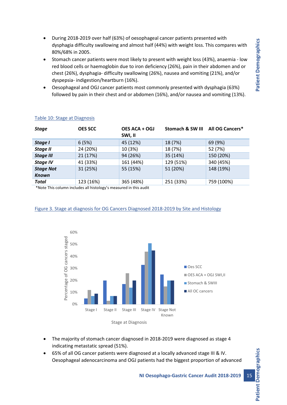- During 2018-2019 over half (63%) of oesophageal cancer patients presented with dysphagia difficulty swallowing and almost half (44%) with weight loss. This compares with 80%/68% in 2005.
- Stomach cancer patients were most likely to present with weight loss (43%), anaemia low red blood cells or haemoglobin due to iron deficiency (26%), pain in their abdomen and or chest (26%), dysphagia- difficulty swallowing (26%), nausea and vomiting (21%), and/or dyspepsia- indigestion/heartburn (16%).
- Oesophageal and OGJ cancer patients most commonly presented with dysphagia (63%) followed by pain in their chest and or abdomen (16%), and/or nausea and vomiting (13%).

| Stage                            | <b>OES SCC</b> | OES ACA + OGJ<br>SWI, II | Stomach & SW III | <b>All OG Cancers*</b> |
|----------------------------------|----------------|--------------------------|------------------|------------------------|
| Stage I                          | 6(5%)          | 45 (12%)                 | 18 (7%)          | 69 (9%)                |
| <b>Stage II</b>                  | 24 (20%)       | 10 (3%)                  | 18 (7%)          | 52 (7%)                |
| <b>Stage III</b>                 | 21 (17%)       | 94 (26%)                 | 35 (14%)         | 150 (20%)              |
| Stage IV                         | 41 (33%)       | 161 (44%)                | 129 (51%)        | 340 (45%)              |
| <b>Stage Not</b><br><b>Known</b> | 31 (25%)       | 55 (15%)                 | 51 (20%)         | 148 (19%)              |
| Total                            | 123 (16%)      | 365 (48%)                | 251 (33%)        | 759 (100%)             |

#### Table 10: Stage at Diagnosis

\*Note This column includes all histology's measured in this audit

#### Figure 3. Stage at diagnosis for OG Cancers Diagnosed 2018-2019 by Site and Histology



The majority of stomach cancer diagnosed in 2018-2019 were diagnosed as stage 4 indicating metastatic spread (51%).

 65% of all OG cancer patients were diagnosed at a locally advanced stage III & IV. Oesophageal adenocarcinoma and OGJ patients had the biggest proportion of advanced

**Patie**

**nt D emogra phics**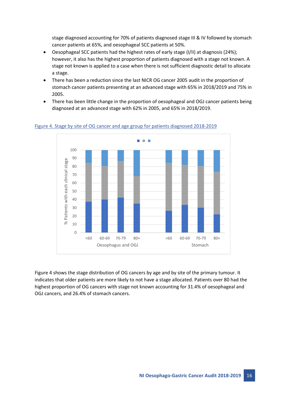stage diagnosed accounting for 70% of patients diagnosed stage III & IV followed by stomach cancer patients at 65%, and oesophageal SCC patients at 50%.

- Oesophageal SCC patients had the highest rates of early stage (I/II) at diagnosis (24%); however, it also has the highest proportion of patients diagnosed with a stage not known. A stage not known is applied to a case when there is not sufficient diagnostic detail to allocate a stage.
- There has been a reduction since the last NICR OG cancer 2005 audit in the proportion of stomach cancer patients presenting at an advanced stage with 65% in 2018/2019 and 75% in 2005.
- There has been little change in the proportion of oesophageal and OGJ cancer patients being diagnosed at an advanced stage with 62% in 2005, and 65% in 2018/2019.



#### Figure 4. Stage by site of OG cancer and age group for patients diagnosed 2018-2019

Figure 4 shows the stage distribution of OG cancers by age and by site of the primary tumour. It indicates that older patients are more likely to not have a stage allocated. Patients over 80 had the highest proportion of OG cancers with stage not known accounting for 31.4% of oesophageal and OGJ cancers, and 26.4% of stomach cancers.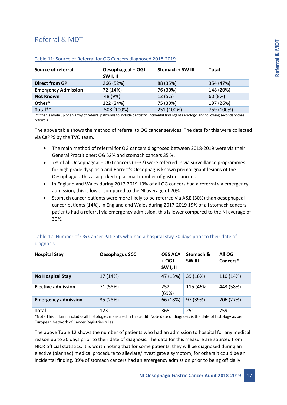# Referral & MDT

| Source of referral         | Oesophageal + OGJ<br>SW I, II | Stomach + SW III | <b>Total</b> |
|----------------------------|-------------------------------|------------------|--------------|
| <b>Direct from GP</b>      | 266 (52%)                     | 88 (35%)         | 354 (47%)    |
| <b>Emergency Admission</b> | 72 (14%)                      | 76 (30%)         | 148 (20%)    |
| <b>Not Known</b>           | 48 (9%)                       | 12 (5%)          | 60 (8%)      |
| Other*                     | 122 (24%)                     | 75 (30%)         | 197 (26%)    |
| Total**                    | 508 (100%)                    | 251 (100%)       | 759 (100%)   |

# Table 11: Source of Referral for OG Cancers diagnosed 2018-2019

\*Other is made up of an array of referral pathways to include dentistry, incidental findings at radiology, and following secondary care referrals.

The above table shows the method of referral to OG cancer services. The data for this were collected via CaPPS by the TVO team.

- The main method of referral for OG cancers diagnosed between 2018-2019 were via their General Practitioner; OG 52% and stomach cancers 35 %.
- 7% of all Oesophageal + OGJ cancers (n=37) were referred in via surveillance programmes for high grade dysplasia and Barrett's Oesophagus known premalignant lesions of the Oesophagus. This also picked up a small number of gastric cancers.
- In England and Wales during 2017-2019 13% of all OG cancers had a referral via emergency admission, this is lower compared to the NI average of 20%.
- Stomach cancer patients were more likely to be referred via A&E (30%) than oesophageal cancer patients (14%). In England and Wales during 2017-2019 19% of all stomach cancers patients had a referral via emergency admission, this is lower compared to the NI average of 30%.

| <b>Hospital Stay</b>       | Oesophagus SCC | <b>OES ACA</b><br>+ OGJ<br>SW I, II | Stomach &<br>SW III | All OG<br>Cancers* |
|----------------------------|----------------|-------------------------------------|---------------------|--------------------|
| <b>No Hospital Stay</b>    | 17 (14%)       | 47 (13%)                            | 39 (16%)            | 110 (14%)          |
| <b>Elective admission</b>  | 71 (58%)       | 252<br>(69%)                        | 115 (46%)           | 443 (58%)          |
| <b>Emergency admission</b> | 35 (28%)       | 66 (18%)                            | 97 (39%)            | 206 (27%)          |
| <b>Total</b>               | 123            | 365                                 | 251                 | 759                |

# Table 12: Number of OG Cancer Patients who had a hospital stay 30 days prior to their date of diagnosis

\*Note This column includes all histologies measured in this audit. Note date of diagnosis is the date of histology as per European Network of Cancer Registries rules

The above Table 12 shows the number of patients who had an admission to hospital for any medical reason up to 30 days prior to their date of diagnosis. The data for this measure are sourced from NICR official statistics. It is worth noting that for some patients, they will be diagnosed during an elective (planned) medical procedure to alleviate/investigate a symptom; for others it could be an incidental finding. 39% of stomach cancers had an emergency admission prior to being officially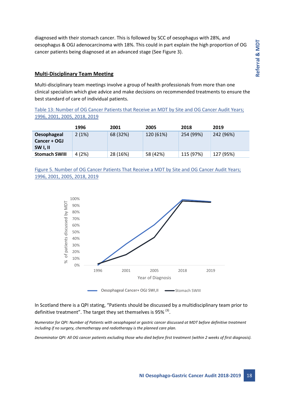diagnosed with their stomach cancer. This is followed by SCC of oesophagus with 28%, and oesophagus & OGJ adenocarcinoma with 18%. This could in part explain the high proportion of OG cancer patients being diagnosed at an advanced stage (See Figure 3).

### **Multi-Disciplinary Team Meeting**

Multi-disciplinary team meetings involve a group of health professionals from more than one clinical specialism which give advice and make decisions on recommended treatments to ensure the best standard of care of individual patients.

Table 13: Number of OG Cancer Patients that Receive an MDT by Site and OG Cancer Audit Years; 1996, 2001, 2005, 2018, 2019

|                                         | 1996   | 2001     | 2005      | 2018      | 2019      |
|-----------------------------------------|--------|----------|-----------|-----------|-----------|
| Oesophageal<br>Cancer + OGJ<br>SW I, II | 2(1%)  | 68 (32%) | 120 (61%) | 254 (99%) | 242 (96%) |
| <b>Stomach SWIII</b>                    | 4 (2%) | 28 (16%) | 58 (42%)  | 115 (97%) | 127 (95%) |

Figure 5. Number of OG Cancer Patients That Receive a MDT by Site and OG Cancer Audit Years; 1996, 2001, 2005, 2018, 2019



In Scotland there is a QPI stating, "Patients should be discussed by a multidisciplinary team prior to definitive treatment". The target they set themselves is 95%  $(3)$ .

*Numerator for QPI: Number of Patients with oesophageal or gastric cancer discussed at MDT before definitive treatment including if no surgery, chemotherapy and radiotherapy is the planned care plan.*

*Denominator QPI: All OG cancer patients excluding those who died before first treatment (within 2 weeks of first diagnosis).*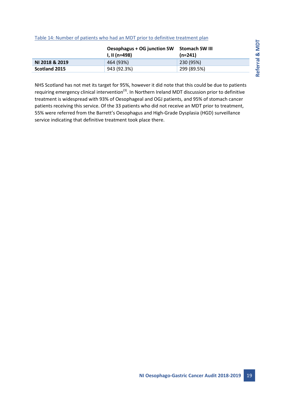#### Table 14: Number of patients who had an MDT prior to definitive treatment plan

|                | Oesophagus + OG junction SW<br>$I. II(n=498)$ | Stomach SW III<br>$(n=241)$ |
|----------------|-----------------------------------------------|-----------------------------|
| NI 2018 & 2019 | 464 (93%)                                     | 230 (95%)                   |
| Scotland 2015  | 943 (92.3%)                                   | 299 (89.5%)                 |

NHS Scotland has not met its target for 95%, however it did note that this could be due to patients requiring emergency clinical intervention<sup>(3)</sup>. In Northern Ireland MDT discussion prior to definitive treatment is widespread with 93% of Oesophageal and OGJ patients, and 95% of stomach cancer patients receiving this service. Of the 33 patients who did not receive an MDT prior to treatment, 55% were referred from the Barrett's Oesophagus and High-Grade Dysplasia (HGD) surveillance service indicating that definitive treatment took place there.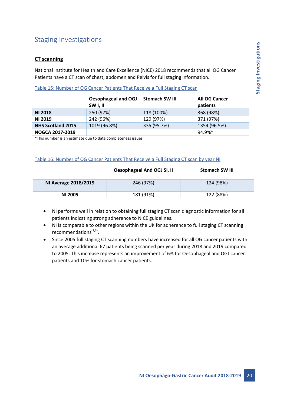# Staging Investigations

# **CT scanning**

National Institute for Health and Care Excellence (NICE) 2018 recommends that all OG Cancer Patients have a CT scan of chest, abdomen and Pelvis for full staging information.

Table 15: Number of OG Cancer Patients That Receive a Full Staging CT scan

|                          | Oesophageal and OGJ<br>SW I, II | Stomach SW III | <b>All OG Cancer</b><br>patients |
|--------------------------|---------------------------------|----------------|----------------------------------|
| <b>NI 2018</b>           | 250 (97%)                       | 118 (100%)     | 368 (98%)                        |
| <b>NI 2019</b>           | 242 (96%)                       | 129 (97%)      | 371 (97%)                        |
| <b>NHS Scotland 2015</b> | 1019 (96.8%)                    | 335 (95.7%)    | 1354 (96.5%)                     |
| <b>NOGCA 2017-2019</b>   |                                 |                | 94.9%*                           |

\*This number is an estimate due to data completeness issues

#### Table 16: Number of OG Cancer Patients That Receive a Full Staging CT scan by year NI

|                      | Oesophageal And OGJ SI, II | Stomach SW III |
|----------------------|----------------------------|----------------|
| NI Average 2018/2019 | 246 (97%)                  | 124 (98%)      |
| NI 2005              | 181 (91%)                  | 122 (88%)      |

- NI performs well in relation to obtaining full staging CT scan diagnostic information for all patients indicating strong adherence to NICE guidelines.
- NI is comparable to other regions within the UK for adherence to full staging CT scanning recommendations<sup>(2,3)</sup>.
- Since 2005 full staging CT scanning numbers have increased for all OG cancer patients with an average additional 67 patients being scanned per year during 2018 and 2019 compared to 2005. This increase represents an improvement of 6% for Oesophageal and OGJ cancer patients and 10% for stomach cancer patients.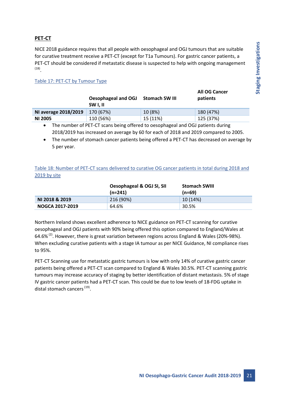# **PET-CT**

NICE 2018 guidance requires that all people with oesophageal and OGJ tumours that are suitable for curative treatment receive a PET-CT (except for T1a Tumours). For gastric cancer patients, a PET-CT should be considered if metastatic disease is suspected to help with ongoing management (18) .

#### Table 17: PET-CT by Tumour Type

|                      | Oesophageal and OGJ Stomach SW III<br>SW I. II |          | <b>All OG Cancer</b><br>patients |
|----------------------|------------------------------------------------|----------|----------------------------------|
| NI average 2018/2019 | 170 (67%)                                      | 10 (8%)  | 180 (47%)                        |
| <b>NI 2005</b>       | 110 (56%)                                      | 15 (11%) | 125 (37%)                        |

 The number of PET-CT scans being offered to oesophageal and OGJ patients during 2018/2019 has increased on average by 60 for each of 2018 and 2019 compared to 2005.

 The number of stomach cancer patients being offered a PET-CT has decreased on average by 5 per year.

# Table 18: Number of PET-CT scans delivered to curative OG cancer patients in total during 2018 and 2019 by site

|                        | Oesophageal & OGJ SI, SII<br>$(n=241)$ | <b>Stomach SWIII</b><br>$(n=69)$ |
|------------------------|----------------------------------------|----------------------------------|
| NI 2018 & 2019         | 216 (90%)                              | 10 (14%)                         |
| <b>NOGCA 2017-2019</b> | 64.6%                                  | 30.5%                            |

Northern Ireland shows excellent adherence to NICE guidance on PET-CT scanning for curative oesophageal and OGJ patients with 90% being offered this option compared to England/Wales at 64.6% $^{(2)}$ . However, there is great variation between regions across England & Wales (20%-98%). When excluding curative patients with a stage IA tumour as per NICE Guidance, NI compliance rises to 95%.

PET-CT Scanning use for metastatic gastric tumours is low with only 14% of curative gastric cancer patients being offered a PET-CT scan compared to England & Wales 30.5%. PET-CT scanning gastric tumours may increase accuracy of staging by better identification of distant metastasis. 5% of stage IV gastric cancer patients had a PET-CT scan. This could be due to low levels of 18-FDG uptake in distal stomach cancers<sup>(19)</sup>.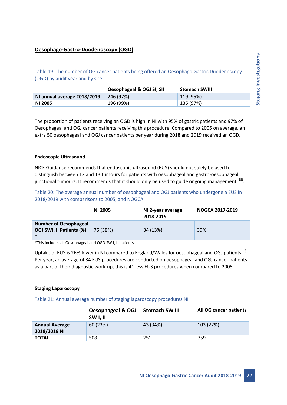# **Oesophago-Gastro-Duodenoscopy (OGD)**

Table 19: The number of OG cancer patients being offered an Oesophago Gastric Duodenoscopy (OGD) by audit year and by site

|                             | Oesophageal & OGJ SI, SII | <b>Stomach SWIII</b> |
|-----------------------------|---------------------------|----------------------|
| NI annual average 2018/2019 | 246 (97%)                 | 119 (95%)            |
| NI 2005                     | 196 (99%)                 | 135 (97%)            |

The proportion of patients receiving an OGD is high in NI with 95% of gastric patients and 97% of Oesophageal and OGJ cancer patients receiving this procedure. Compared to 2005 on average, an extra 50 oesophageal and OGJ cancer patients per year during 2018 and 2019 received an OGD.

# **Endoscopic Ultrasound**

NICE Guidance recommends that endoscopic ultrasound (EUS) should not solely be used to distinguish between T2 and T3 tumours for patients with oesophageal and gastro-oesophageal junctional tumours. It recommends that it should only be used to guide ongoing management  $^{(18)}$ .

Table 20: The average annual number of oesophageal and OGJ patients who undergone a EUS in 2018/2019 with comparisons to 2005, and NOGCA

|                                                                    | <b>NI 2005</b> | NI 2-year average<br>2018-2019 | <b>NOGCA 2017-2019</b> |
|--------------------------------------------------------------------|----------------|--------------------------------|------------------------|
| <b>Number of Oesophageal</b><br>OGJ SWI, II Patients (%)<br>$\ast$ | 75 (38%)       | 34 (13%)                       | 39%                    |

\*This includes all Oesophageal and OGD SW I, II patients.

Uptake of EUS is 26% lower in NI compared to England/Wales for oesophageal and OGJ patients<sup>(2)</sup>. Per year, an average of 34 EUS procedures are conducted on oesophageal and OGJ cancer patients as a part of their diagnostic work-up, this is 41 less EUS procedures when compared to 2005.

# **Staging Laparoscopy**

Table 21: Annual average number of staging laparoscopy procedures NI

|                                       | Oesophageal & OGJ<br>SW I, II | <b>Stomach SW III</b> | All OG cancer patients |
|---------------------------------------|-------------------------------|-----------------------|------------------------|
| <b>Annual Average</b><br>2018/2019 NI | 60 (23%)                      | 43 (34%)              | 103 (27%)              |
| <b>TOTAL</b>                          | 508                           | 251                   | 759                    |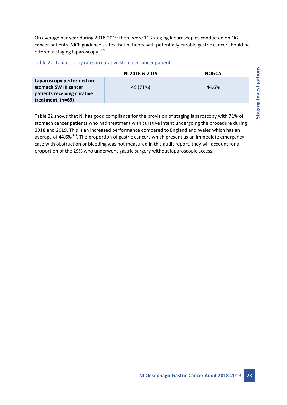**Sta gin g In vestig atio ns**

On average per year during 2018-2019 there were 103 staging laparoscopies conducted on OG cancer patients. NICE guidance states that patients with potentially curable gastric cancer should be offered a staging laparoscopy<sup>(17)</sup>.

# Table 22: Laparoscopy rates in curative stomach cancer patients

|                                                                                                       | NI 2018 & 2019 | <b>NOGCA</b> |
|-------------------------------------------------------------------------------------------------------|----------------|--------------|
| Laparoscopy performed on<br>stomach SW III cancer<br>patients receiving curative<br>treatment. (n=69) | 49 (71%)       | 44.6%        |

Table 22 shows that NI has good compliance for the provision of staging laparoscopy with 71% of stomach cancer patients who had treatment with curative intent undergoing the procedure during 2018 and 2019. This is an increased performance compared to England and Wales which has an average of 44.6%  $^{(2)}$ . The proportion of gastric cancers which present as an immediate emergency case with obstruction or bleeding was not measured in this audit report, they will account for a proportion of the 29% who underwent gastric surgery without laparoscopic access.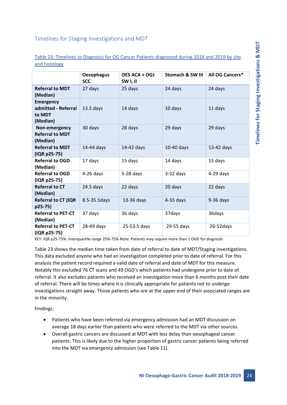|                                                               | <b>Oesophagus</b><br><b>SCC</b> | OES ACA + OGJ<br>SW I, II | Stomach & SW III | All OG Cancers* |
|---------------------------------------------------------------|---------------------------------|---------------------------|------------------|-----------------|
| <b>Referral to MDT</b><br>(Median)                            | 27 days                         | 25 days                   | 24 days          | 24 days         |
| <b>Emergency</b><br>admitted - Referral<br>to MDT<br>(Median) | $13.5$ days                     | 14 days                   | 10 days          | 11 days         |
| Non-emergency<br><b>Referral to MDT</b><br>(Median)           | 30 days                         | 28 days                   | 29 days          | 29 days         |
| <b>Referral to MDT</b><br>(IQR p25-75)                        | 14-44 days                      | 14-42 days                | 10-40 days       | $13-42$ days    |
| <b>Referral to OGD</b><br>(Median)                            | 17 days                         | 15 days                   | 14 days          | 15 days         |
| <b>Referral to OGD</b><br>(IQR p25-75)                        | $4-26$ days                     | $5-28$ days               | $3-32$ days      | $4-29$ days     |
| <b>Referral to CT</b><br>(Median)                             | $24.5$ days                     | 22 days                   | 20 days          | 22 days         |
| <b>Referral to CT (IQR</b><br>p25-75)                         | 8.5-35.5 days                   | 13-36 days                | $4-33$ days      | $9-36$ days     |
| <b>Referral to PET-CT</b><br>(Median)                         | 37 days                         | 36 days                   | 37days           | 36days          |
| <b>Referral to PET-CT</b><br>(IQR p25-75)                     | 28-49 days                      | 25-53.5 days              | 29-55 days       | $26-52$ days    |

Table 23: Timelines to Diagnosis for OG Cancer Patients diagnosed during 2018 and 2019 by site and histology

KEY: IQR p25-75%: Interquartile range 25%-75% Note: Patients may require more than 1 OGD for diagnosis

Table 23 shows the median time taken from date of referral to date of MDT/Staging investigations. This data excluded anyone who had an investigation completed prior to date of referral. For this analysis the patient record required a valid date of referral and date of MDT for this measure. Notably this excluded 76 CT scans and 49 OGD's which patients had undergone prior to date of referral. It also excludes patients who received an investigation more than 6 months post their date of referral. There will be times where it is clinically appropriate for patients not to undergo investigations straight away. Those patients who are at the upper end of their associated ranges are in the minority.

Findings:

- Patients who have been referred via emergency admission had an MDT discussion on average 18 days earlier than patients who were referred to the MDT via other sources.
- Overall gastric cancers are discussed at MDT with less delay than oesophageal cancer patients. This is likely due to the higher proportion of gastric cancer patients being referred into the MDT via emergency admission (see Table 11).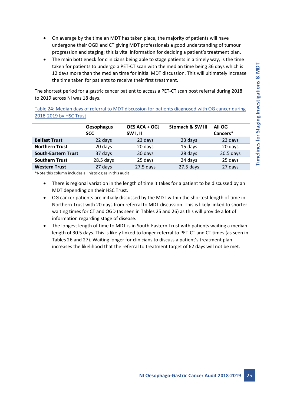- On average by the time an MDT has taken place, the majority of patients will have undergone their OGD and CT giving MDT professionals a good understanding of tumour progression and staging; this is vital information for deciding a patient's treatment plan.
- The main bottleneck for clinicians being able to stage patients in a timely way, is the time taken for patients to undergo a PET-CT scan with the median time being 36 days which is 12 days more than the median time for initial MDT discussion. This will ultimately increase the time taken for patients to receive their first treatment.

The shortest period for a gastric cancer patient to access a PET-CT scan post referral during 2018 to 2019 across NI was 18 days.

### Table 24: Median days of referral to MDT discussion for patients diagnosed with OG cancer during 2018-2019 by HSC Trust

|                            | <b>Oesophagus</b><br><b>SCC</b> | OES ACA + OGJ<br>SW I, II | <b>Stomach &amp; SW III</b> | All OG<br>Cancers* |
|----------------------------|---------------------------------|---------------------------|-----------------------------|--------------------|
| <b>Belfast Trust</b>       | 22 days                         | 23 days                   | 23 days                     | 23 days            |
| <b>Northern Trust</b>      | 20 days                         | 20 days                   | 15 days                     | 20 days            |
| <b>South-Eastern Trust</b> | 37 days                         | 30 days                   | 28 days                     | 30.5 days          |
| <b>Southern Trust</b>      | $28.5$ days                     | 25 days                   | 24 days                     | 25 days            |
| <b>Western Trust</b>       | 27 days                         | $27.5$ days               | $27.5$ days                 | 27 days            |

\*Note this column includes all histologies in this audit

- There is regional variation in the length of time it takes for a patient to be discussed by an MDT depending on their HSC Trust.
- OG cancer patients are initially discussed by the MDT within the shortest length of time in Northern Trust with 20 days from referral to MDT discussion. This is likely linked to shorter waiting times for CT and OGD (as seen in Tables 25 and 26) as this will provide a lot of information regarding stage of disease.
- The longest length of time to MDT is in South-Eastern Trust with patients waiting a median length of 30.5 days. This is likely linked to longer referral to PET-CT and CT times (as seen in Tables 26 and 27). Waiting longer for clinicians to discuss a patient's treatment plan increases the likelihood that the referral to treatment target of 62 days will not be met.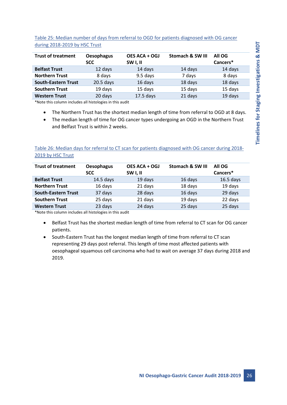| <b>Trust of treatment</b> | <b>Oesophagus</b><br><b>SCC</b> | OES ACA + OGJ<br>SW I, II | Stomach & SW III | All OG<br>Cancers* |  |
|---------------------------|---------------------------------|---------------------------|------------------|--------------------|--|
| <b>Belfast Trust</b>      | 12 days                         | 14 days                   | 14 days          | 14 days            |  |
| <b>Northern Trust</b>     | 8 days                          | 9.5 days                  | 7 days           | 8 days             |  |
| South-Eastern Trust       | $20.5$ days                     | 16 days                   | 18 days          | 18 days            |  |
| <b>Southern Trust</b>     | 19 days                         | 15 days                   | 15 days          | 15 days            |  |
| <b>Western Trust</b>      | 20 days                         | $17.5$ days               | 21 days          | 19 days            |  |
|                           |                                 |                           |                  |                    |  |

Table 25: Median number of days from referral to OGD for patients diagnosed with OG cancer during 2018-2019 by HSC Trust

\*Note this column includes all histologies in this audit

- The Northern Trust has the shortest median length of time from referral to OGD at 8 days.
- The median length of time for OG cancer types undergoing an OGD in the Northern Trust and Belfast Trust is within 2 weeks.

# Table 26: Median days for referral to CT scan for patients diagnosed with OG cancer during 2018- 2019 by HSC Trust

| <b>Trust of treatment</b>  | <b>Oesophagus</b><br><b>SCC</b> | <b>OES ACA + OGJ</b><br>SW I, II | Stomach & SW III | All OG<br>Cancers* |
|----------------------------|---------------------------------|----------------------------------|------------------|--------------------|
| <b>Belfast Trust</b>       | $14.5$ days                     | 19 days                          | 16 days          | $16.5$ days        |
| <b>Northern Trust</b>      | 16 days                         | 21 days                          | 18 days          | 19 days            |
| <b>South-Eastern Trust</b> | 37 days                         | 28 days                          | 16 days          | 29 days            |
| <b>Southern Trust</b>      | 25 days                         | 21 days                          | 19 days          | 22 days            |
| <b>Western Trust</b>       | 23 days                         | 24 days                          | 25 days          | 25 days            |

\*Note this column includes all histologies in this audit

- Belfast Trust has the shortest median length of time from referral to CT scan for OG cancer patients.
- South-Eastern Trust has the longest median length of time from referral to CT scan representing 29 days post referral. This length of time most affected patients with oesophageal squamous cell carcinoma who had to wait on average 37 days during 2018 and 2019.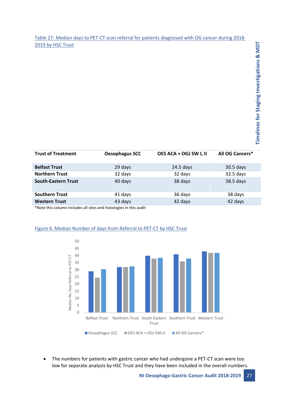| <b>Trust of Treatment</b>                                                                               | <b>Oesophagus SCC</b> | OES ACA + OGJ SW I, II | All OG Cancers* |  |
|---------------------------------------------------------------------------------------------------------|-----------------------|------------------------|-----------------|--|
| <b>Belfast Trust</b>                                                                                    | 29 days               | $24.5$ days            | 30.5 days       |  |
| <b>Northern Trust</b>                                                                                   | 32 days               | 32 days                | 32.5 days       |  |
| <b>South-Eastern Trust</b>                                                                              | 40 days               | 38 days                | 38.5 days       |  |
| <b>Southern Trust</b>                                                                                   | 41 days               | 36 days                | 38 days         |  |
| <b>Western Trust</b>                                                                                    | 43 days               | 42 days                | 42 days         |  |
| النائب والمرابط والمتمول والمناويا المورون ومنازم المروح والمروان والمستراح والمناسبة والمتحالا فالمراد |                       |                        |                 |  |

\*Note this column includes all sites and histologies in this audit



#### Figure 6. Median Number of days from Referral to PET-CT by HSC Trust

 The numbers for patients with gastric cancer who had undergone a PET-CT scan were too low for separate analysis by HSC Trust and they have been included in the overall numbers.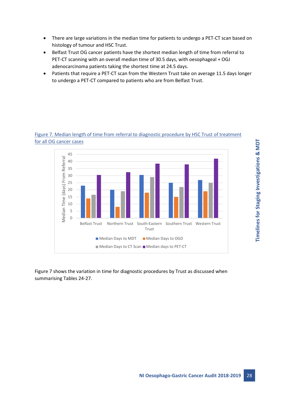- There are large variations in the median time for patients to undergo a PET-CT scan based on histology of tumour and HSC Trust.
- Belfast Trust OG cancer patients have the shortest median length of time from referral to PET-CT scanning with an overall median time of 30.5 days, with oesophageal + OGJ adenocarcinoma patients taking the shortest time at 24.5 days.
- Patients that require a PET-CT scan from the Western Trust take on average 11.5 days longer to undergo a PET-CT compared to patients who are from Belfast Trust.

# Figure 7. Median length of time from referral to diagnostic procedure by HSC Trust of treatment for all OG cancer cases



Figure 7 shows the variation in time for diagnostic procedures by Trust as discussed when summarising Tables 24-27.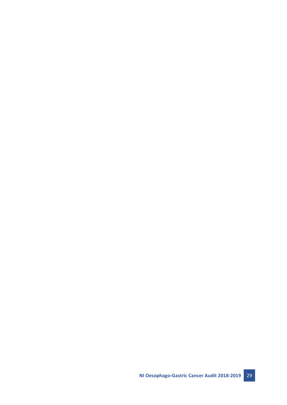**NI Oesophago-Gastric Cancer Audit 2018-2019** 29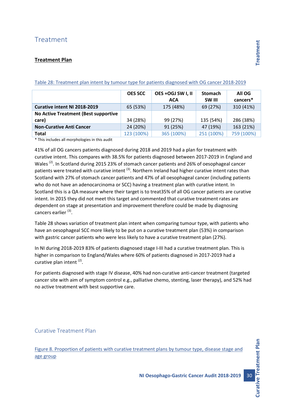# Treatment

# **Treatment Plan**

|                                             | <b>OES SCC</b> | OES +OGJ SW I, II<br><b>ACA</b> | <b>Stomach</b><br>SW III | All OG<br>cancers* |
|---------------------------------------------|----------------|---------------------------------|--------------------------|--------------------|
| Curative intent NI 2018-2019                | 65 (53%)       | 175 (48%)                       | 69 (27%)                 | 310 (41%)          |
| <b>No Active Treatment (Best supportive</b> |                |                                 |                          |                    |
| care)                                       | 34 (28%)       | 99 (27%)                        | 135 (54%)                | 286 (38%)          |
| <b>Non-Curative Anti Cancer</b>             | 24 (20%)       | 91 (25%)                        | 47 (19%)                 | 163 (21%)          |
| <b>Total</b>                                | 123 (100%)     | 365 (100%)                      | 251 (100%)               | 759 (100%)         |

#### Table 28: Treatment plan intent by tumour type for patients diagnosed with OG cancer 2018-2019

\* This includes all morphologies in this audit

41% of all OG cancers patients diagnosed during 2018 and 2019 had a plan for treatment with curative intent. This compares with 38.5% for patients diagnosed between 2017-2019 in England and Wales<sup>(2)</sup>. In Scotland during 2015 23% of stomach cancer patients and 26% of oesophageal cancer patients were treated with curative intent <sup>(3)</sup>. Northern Ireland had higher curative intent rates than Scotland with 27% of stomach cancer patients and 47% of all oesophageal cancer (including patients who do not have an adenocarcinoma or SCC) having a treatment plan with curative intent. In Scotland this is a QA measure where their target is to treat35% of all OG cancer patients are curative intent. In 2015 they did not meet this target and commented that curative treatment rates are dependent on stage at presentation and improvement therefore could be made by diagnosing cancers earlier<sup>(3)</sup>.

Table 28 shows variation of treatment plan intent when comparing tumour type, with patients who have an oesophageal SCC more likely to be put on a curative treatment plan (53%) in comparison with gastric cancer patients who were less likely to have a curative treatment plan (27%).

In NI during 2018-2019 83% of patients diagnosed stage I-III had a curative treatment plan. This is higher in comparison to England/Wales where 60% of patients diagnosed in 2017-2019 had a curative plan intent<sup>(2)</sup>.

For patients diagnosed with stage IV disease, 40% had non-curative anti-cancer treatment (targeted cancer site with aim of symptom control e.g., palliative chemo, stenting, laser therapy), and 52% had no active treatment with best supportive care.

# Curative Treatment Plan

Figure 8. Proportion of patients with curative treatment plans by tumour type, disease stage and age group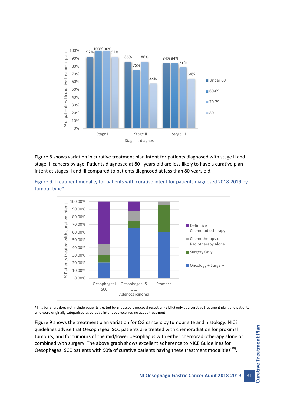

Figure 8 shows variation in curative treatment plan intent for patients diagnosed with stage II and stage III cancers by age. Patients diagnosed at 80+ years old are less likely to have a curative plan intent at stages II and III compared to patients diagnosed at less than 80 years old.



Figure 9. Treatment modality for patients with curative intent for patients diagnosed 2018-2019 by tumour type\*

\*This bar chart does not include patients treated by Endoscopic mucosal resection (EMR) only as a curative treatment plan, and patients who were originally categorised as curative intent but received no active treatment

Figure 9 shows the treatment plan variation for OG cancers by tumour site and histology. NICE guidelines advise that Oesophageal SCC patients are treated with chemoradiation for proximal tumours, and for tumours of the mid/lower oesophagus with either chemoradiotherapy alone or combined with surgery. The above graph shows excellent adherence to NICE Guidelines for Oesophageal SCC patients with 90% of curative patients having these treatment modalities<sup>(18)</sup>.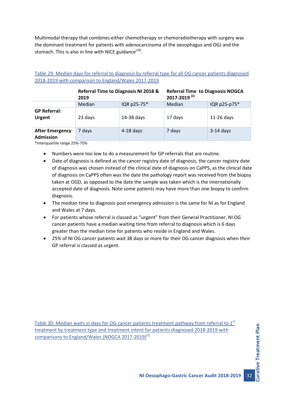Multimodal therapy that combines either chemotherapy or chemoradiotherapy with surgery was the dominant treatment for patients with adenocarcinoma of the oesophagus and OGJ and the stomach. This is also in line with NICE guidance $^{(18)}$ .

# Table 29: Median days for referral to diagnosis by referral type for all OG cancer patients diagnosed 2018-2019 with comparison to England/Wales 2017-2019

|                                            | <b>Referral Time to Diagnosis NI 2018 &amp;</b><br>2019 |             | <b>Referral Time to Diagnosis NOGCA</b><br>2017-2019 <sup>(2)</sup> |              |
|--------------------------------------------|---------------------------------------------------------|-------------|---------------------------------------------------------------------|--------------|
|                                            | Median                                                  | IQR p25-75* | Median                                                              | IQR p25-p75* |
| <b>GP Referral:</b><br><b>Urgent</b>       | 23 days                                                 | 14-38 days  | 17 days                                                             | $11-26$ days |
| <b>After Emergency</b><br><b>Admission</b> | 7 days                                                  | $4-18$ days | 7 days                                                              | $3-14$ days  |

\*Interquartile range 25%-75%

- Numbers were too low to do a measurement for GP referrals that are routine.
- Date of diagnosis is defined as the cancer registry date of diagnosis, the cancer registry date of diagnosis was chosen instead of the clinical date of diagnosis on CaPPS, as the clinical date of diagnosis on CaPPS often was the date the pathology report was received from the biopsy taken at OGD, as opposed to the date the sample was taken which is the internationally accepted date of diagnosis. Note some patients may have more than one biopsy to confirm diagnosis.
- The median time to diagnosis post emergency admission is the same for NI as for England and Wales at 7 days.
- For patients whose referral is classed as "urgent" from their General Practitioner, NI OG cancer patients have a median waiting time from referral to diagnosis which is 6 days greater than the median time for patients who reside in England and Wales.
- 25% of NI OG cancer patients wait 38 days or more for their OG cancer diagnosis when their GP referral is classed as urgent.

Table 30: Median waits in days for OG cancer patients treatment pathway from referral to 1<sup>st</sup> treatment by treatment type and treatment intent for patients diagnosed 2018-2019 with comparisons to England/Wales (NOGCA 2017-2019) $<sup>(2)</sup>$ </sup>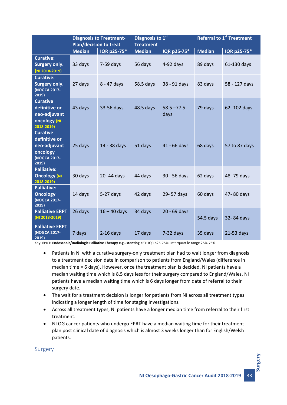|                                                                                       | <b>Plan/decision to treat</b> | <b>Diagnosis to Treatment-</b> | Diagnosis to 1st<br><b>Treatment</b> |                       |               | <b>Referral to 1st Treatment</b> |
|---------------------------------------------------------------------------------------|-------------------------------|--------------------------------|--------------------------------------|-----------------------|---------------|----------------------------------|
|                                                                                       | <b>Median</b>                 | IQR p25-75*                    | <b>Median</b>                        | IQR p25-75*           | <b>Median</b> | IQR p25-75*                      |
| <b>Curative:</b><br><b>Surgery only.</b><br>(NI 2018-2019)                            | 33 days                       | $7-59$ days                    | 56 days                              | $4-92$ days           | 89 days       | 61-130 days                      |
| <b>Curative:</b><br><b>Surgery only.</b><br>(NOGCA 2017-<br>2019)                     | 27 days                       | 8 - 47 days                    | 58.5 days                            | 38 - 91 days          | 83 days       | 58 - 127 days                    |
| <b>Curative</b><br>definitive or<br>neo-adjuvant<br><b>oncology</b> (NI<br>2018-2019) | 43 days                       | 33-56 days                     | 48.5 days                            | $58.5 - 77.5$<br>days | 79 days       | 62-102 days                      |
| <b>Curative</b><br>definitive or<br>neo-adjuvant<br>oncology<br>(NOGCA 2017-<br>2019) | 25 days                       | 14 - 38 days                   | 51 days                              | 41 - 66 days          | 68 days       | 57 to 87 days                    |
| <b>Palliative:</b><br><b>Oncology (NI</b><br>2018-2019)                               | 30 days                       | 20-44 days                     | 44 days                              | 30 - 56 days          | 62 days       | 48-79 days                       |
| <b>Palliative:</b><br><b>Oncology</b><br>(NOGCA 2017-<br>2019)                        | 14 days                       | $5-27$ days                    | 42 days                              | 29-57 days            | 60 days       | 47-80 days                       |
| <b>Palliative ERPT</b><br>(NI 2018-2019)                                              | 26 days                       | $16 - 40$ days                 | 34 days                              | 20 - 69 days          | 54.5 days     | 32-84 days                       |
| <b>Palliative ERPT</b><br>(NOGCA 2017-<br>2019)                                       | 7 days                        | $2-16$ days                    | 17 days                              | $7-32$ days           | 35 days       | $21-53$ days                     |

Key: **EPRT: Endoscopic/Radiologic Palliative Therapy e.g., stenting** KEY: IQR p25-75%: Interquartile range 25%-75%

- Patients in NI with a curative surgery-only treatment plan had to wait longer from diagnosis to a treatment decision date in comparison to patients from England/Wales (difference in median time = 6 days). However, once the treatment plan is decided, NI patients have a median waiting time which is 8.5 days less for their surgery compared to England/Wales. NI patients have a median waiting time which is 6 days longer from date of referral to their surgery date.
- The wait for a treatment decision is longer for patients from NI across all treatment types indicating a longer length of time for staging investigations.
- Across all treatment types, NI patients have a longer median time from referral to their first treatment.
- NI OG cancer patients who undergo EPRT have a median waiting time for their treatment plan post clinical date of diagnosis which is almost 3 weeks longer than for English/Welsh patients.

Surgery

**Surg ery**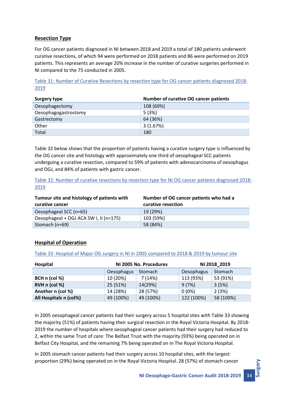# **Resection Type**

For OG cancer patients diagnosed in NI between 2018 and 2019 a total of 180 patients underwent curative resections, of which 94 were performed on 2018 patients and 86 were performed on 2019 patients. This represents an average 20% increase in the number of curative surgeries performed in NI compared to the 75 conducted in 2005.

Table 31: Number of Curative Resections by resection type for OG cancer patients diagnosed 2018- 2019

| <b>Surgery type</b>  | Number of curative OG cancer patients |
|----------------------|---------------------------------------|
| Oesophagectomy       | 108 (60%)                             |
| Oesophagogastrostomy | 5(3%)                                 |
| Gastrectomy          | 64 (36%)                              |
| Other                | 3(1.67%)                              |
| Total                | 180                                   |

Table 32 below shows that the proportion of patients having a curative surgery type is influenced by the OG cancer site and histology with approximately one third of oesophageal SCC patients undergoing a curative resection, compared to 59% of patients with adenocarcinoma of oesophagus and OGJ, and 84% of patients with gastric cancer.

Table 32: Number of curative resections by resection type for NI OG cancer patients diagnosed 2018- 2019

| Tumour site and histology of patients with<br>curative cancer | Number of OG cancer patients who had a<br>curative resection |
|---------------------------------------------------------------|--------------------------------------------------------------|
| Oesophageal SCC (n=65)                                        | 19 (29%)                                                     |
| Oesophageal + OGJ ACA SW I, II (n=175)                        | 103 (59%)                                                    |
| Stomach (n=69)                                                | 58 (84%)                                                     |

# **Hospital of Operation**

Table 33: Hospital of Major OG surgery in NI in 2005 compared to 2018 & 2019 by tumour site

| Hospital               |            | NI 2005 No. Procedures | NI 2018_2019 |           |  |
|------------------------|------------|------------------------|--------------|-----------|--|
|                        | Oesophagus | Stomach                | Oesophagus   | Stomach   |  |
| BCH n (col %)          | 10 (20%)   | 7 (14%)                | 113 (93%)    | 53 (91%)  |  |
| RVH n (col %)          | 25 (51%)   | 14(29%)                | 9(7%)        | 3(5%)     |  |
| Another n (col %)      | 14 (28%)   | 28 (57%)               | $0(0\%)$     | 2(3%)     |  |
| All Hospitals n (col%) | 49 (100%)  | 49 (100%)              | 122 (100%)   | 58 (100%) |  |

In 2005 oesophageal cancer patients had their surgery across 5 hospital sites with Table 33 showing the majority (51%) of patients having their surgical resection in the Royal Victoria Hospital. By 2018- 2019 the number of hospitals where oesophageal cancer patients had their surgery had reduced to 2, within the same Trust of care: The Belfast Trust with the majority (93%) being operated on in Belfast City Hospital, and the remaining 7% being operated on in The Royal Victoria Hospital.

In 2005 stomach cancer patients had their surgery across 10 hospital sites, with the largest proportion (29%) being operated on in the Royal Victoria Hospital. 28 (57%) of stomach cancer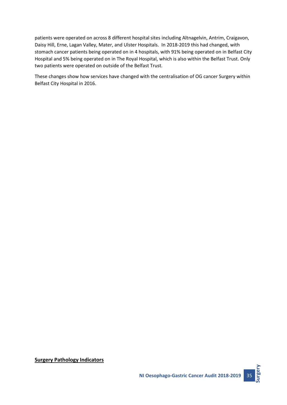patients were operated on across 8 different hospital sites including Altnagelvin, Antrim, Craigavon, Daisy Hill, Erne, Lagan Valley, Mater, and Ulster Hospitals. In 2018-2019 this had changed, with stomach cancer patients being operated on in 4 hospitals, with 91% being operated on in Belfast City Hospital and 5% being operated on in The Royal Hospital, which is also within the Belfast Trust. Only two patients were operated on outside of the Belfast Trust.

These changes show how services have changed with the centralisation of OG cancer Surgery within Belfast City Hospital in 2016.

**Surgery Pathology Indicators**

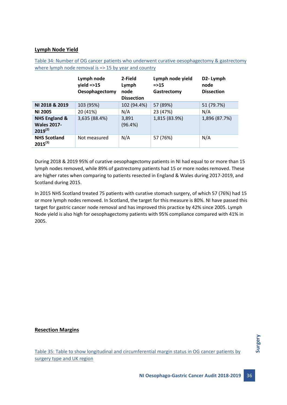# **Lymph Node Yield**

Table 34: Number of OG cancer patients who underwent curative oesophagectomy & gastrectomy where lymph node removal is => 15 by year and country

|                                                                | Lymph node<br>$yield = > 15$<br>Oesophagectomy | 2-Field<br>Lymph<br>node<br><b>Dissection</b> | Lymph node yield<br>$=$ >15<br>Gastrectomy | D2-Lymph<br>node<br><b>Dissection</b> |
|----------------------------------------------------------------|------------------------------------------------|-----------------------------------------------|--------------------------------------------|---------------------------------------|
| NI 2018 & 2019                                                 | 103 (95%)                                      | 102 (94.4%)                                   | 57 (89%)                                   | 51 (79.7%)                            |
| <b>NI 2005</b>                                                 | 20 (41%)                                       | N/A                                           | 23 (47%)                                   | N/A                                   |
| <b>NHS England &amp;</b><br><b>Wales 2017-</b><br>$2019^{(2)}$ | 3,635 (88.4%)                                  | 3,891<br>(96.4%)                              | 1,815 (83.9%)                              | 1,896 (87.7%)                         |
| <b>NHS Scotland</b><br>$2015^{(3)}$                            | Not measured                                   | N/A                                           | 57 (76%)                                   | N/A                                   |

During 2018 & 2019 95% of curative oesophagectomy patients in NI had equal to or more than 15 lymph nodes removed, while 89% of gastrectomy patients had 15 or more nodes removed. These are higher rates when comparing to patients resected in England & Wales during 2017-2019, and Scotland during 2015.

In 2015 NHS Scotland treated 75 patients with curative stomach surgery, of which 57 (76%) had 15 or more lymph nodes removed. In Scotland, the target for this measure is 80%. NI have passed this target for gastric cancer node removal and has improved this practice by 42% since 2005. Lymph Node yield is also high for oesophagectomy patients with 95% compliance compared with 41% in 2005.

#### **Resection Margins**

Table 35: Table to show longitudinal and circumferential margin status in OG cancer patients by surgery type and UK region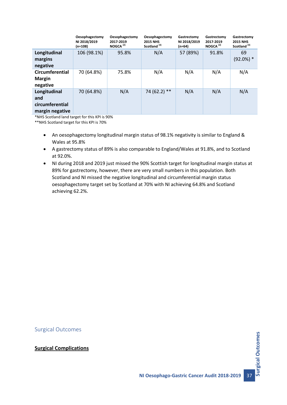|                                                           | Oesophagectomy<br>NI 2018/2019<br>$(n=108)$ | Oesophagectomy<br>2017-2019<br>NOGCA <sup>(2)</sup> | Oesophagectomy<br><b>2015 NHS</b><br>Scotland <sup>(3)</sup> | Gastrectomy<br>NI 2018/2019<br>(n=64) | Gastrectomy<br>2017-2019<br>NOGCA <sup>(2)</sup> | Gastrectomy<br><b>2015 NHS</b><br>Scotland <sup>(3)</sup> |
|-----------------------------------------------------------|---------------------------------------------|-----------------------------------------------------|--------------------------------------------------------------|---------------------------------------|--------------------------------------------------|-----------------------------------------------------------|
| Longitudinal<br>margins<br>negative                       | 106 (98.1%)                                 | 95.8%                                               | N/A                                                          | 57 (89%)                              | 91.8%                                            | 69<br>$(92.0\%)$ *                                        |
| Circumferential<br><b>Margin</b><br>negative              | 70 (64.8%)                                  | 75.8%                                               | N/A                                                          | N/A                                   | N/A                                              | N/A                                                       |
| Longitudinal<br>and<br>circumferential<br>margin negative | 70 (64.8%)                                  | N/A                                                 | 74 (62.2) **                                                 | N/A                                   | N/A                                              | N/A                                                       |

\*NHS Scotland land target for this KPI is 90%

\*\*NHS Scotland target for this KPI is 70%

- An oesophagectomy longitudinal margin status of 98.1% negativity is similar to England & Wales at 95.8%
- A gastrectomy status of 89% is also comparable to England/Wales at 91.8%, and to Scotland at 92.0%.
- NI during 2018 and 2019 just missed the 90% Scottish target for longitudinal margin status at 89% for gastrectomy, however, there are very small numbers in this population. Both Scotland and NI missed the negative longitudinal and circumferential margin status oesophagectomy target set by Scotland at 70% with NI achieving 64.8% and Scotland achieving 62.2%.

Surgical Outcomes

**Surgical Complications**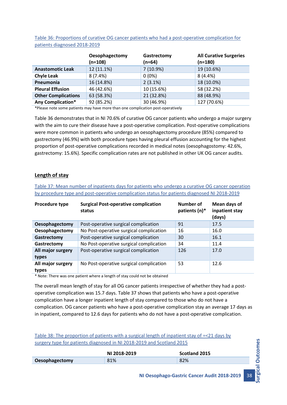|                            | Oesophagectomy<br>$(n=108)$ | Gastrectomy<br>(n=64) | <b>All Curative Surgeries</b><br>(n=180) |
|----------------------------|-----------------------------|-----------------------|------------------------------------------|
| <b>Anastomotic Leak</b>    | 12 (11.1%)                  | 7(10.9%)              | 19 (10.6%)                               |
| <b>Chyle Leak</b>          | 8(7.4%)                     | $0(0\%)$              | 8(4.4% )                                 |
| Pneumonia                  | 16 (14.8%)                  | $2(3.1\%)$            | 18 (10.0%)                               |
| <b>Pleural Effusion</b>    | 46 (42.6%)                  | 10 (15.6%)            | 58 (32.2%)                               |
| <b>Other Complications</b> | 63 (58.3%)                  | 21 (32.8%)            | 88 (48.9%)                               |
| Any Complication*          | 92 (85.2%)                  | 30 (46.9%)            | 127 (70.6%)                              |

Table 36: Proportions of curative OG cancer patients who had a post-operative complication for patients diagnosed 2018-2019

\*Please note some patients may have more than one complication post-operatively

Table 36 demonstrates that in NI 70.6% of curative OG cancer patients who undergo a major surgery with the aim to cure their disease have a post-operative complication. Post-operative complications were more common in patients who undergo an oesophagectomy procedure (85%) compared to gastrectomy (46.9%) with both procedure types having pleural effusion accounting for the highest proportion of post-operative complications recorded in medical notes (oesophagostomy: 42.6%, gastrectomy: 15.6%). Specific complication rates are not published in other UK OG cancer audits.

#### **Length of stay**

Table 37: Mean number of inpatients days for patients who undergo a curative OG cancer operation by procedure type and post-operative complication status for patients diagnosed NI 2018-2019

| Procedure type             | <b>Surgical Post-operative complication</b><br>status | Number of<br>patients (n)* | Mean days of<br>inpatient stay<br>(days) |
|----------------------------|-------------------------------------------------------|----------------------------|------------------------------------------|
| <b>Oesophagectomy</b>      | Post-operative surgical complication                  | 91                         | 17.5                                     |
| Oesophagectomy             | No Post-operative surgical complication               | 16                         | 16.0                                     |
| Gastrectomy                | Post-operative surgical complication                  | 30                         | 16.1                                     |
| Gastrectomy                | No Post-operative surgical complication               | 34                         | 11.4                                     |
| All major surgery<br>types | Post-operative surgical complication                  | 126                        | 17.0                                     |
| All major surgery<br>types | No Post-operative surgical complication               | 53                         | 12.6                                     |

\* Note: There was one patient where a length of stay could not be obtained

The overall mean length of stay for all OG cancer patients irrespective of whether they had a postoperative complication was 15.7 days. Table 37 shows that patients who have a post-operative complication have a longer inpatient length of stay compared to those who do not have a complication. OG cancer patients who have a post-operative complication stay an average 17 days as in inpatient, compared to 12.6 days for patients who do not have a post-operative complication.

Table 38: The proportion of patients with a surgical length of inpatient stay of =<21 days by surgery type for patients diagnosed in NI 2018-2019 and Scotland 2015

|                | NI 2018-2019 | Scotland 2015 |  |
|----------------|--------------|---------------|--|
| Oesophagectomy | 81%          | 82%           |  |

**es**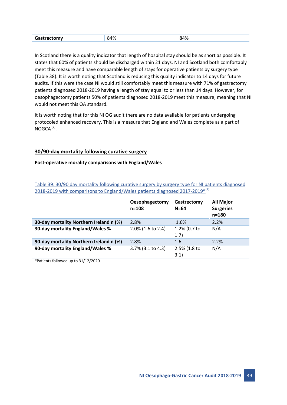| nv<br>∼ | Gastrect<br>$\mathbf{a}$<br>10/<br>------ |  |
|---------|-------------------------------------------|--|
|---------|-------------------------------------------|--|

In Scotland there is a quality indicator that length of hospital stay should be as short as possible. It states that 60% of patients should be discharged within 21 days. NI and Scotland both comfortably meet this measure and have comparable length of stays for operative patients by surgery type (Table 38). It is worth noting that Scotland is reducing this quality indicator to 14 days for future audits. If this were the case NI would still comfortably meet this measure with 71% of gastrectomy patients diagnosed 2018-2019 having a length of stay equal to or less than 14 days. However, for oesophagectomy patients 50% of patients diagnosed 2018-2019 meet this measure, meaning that NI would not meet this QA standard.

It is worth noting that for this NI OG audit there are no data available for patients undergoing protocoled enhanced recovery. This is a measure that England and Wales complete as a part of  $NOGCA<sup>(2)</sup>$ .

# **30/90-day mortality following curative surgery**

#### **Post-operative morality comparisons with England/Wales**

Table 39: 30/90 day mortality following curative surgery by surgery type for NI patients diagnosed 2018-2019 with comparisons to England/Wales patients diagnosed 2017-2019 $^{*(2)}$ 

|                                         | Oesophagectomy<br>$n = 108$ | Gastrectomy<br>$N=64$ | <b>All Major</b><br><b>Surgeries</b><br>$n = 180$ |
|-----------------------------------------|-----------------------------|-----------------------|---------------------------------------------------|
| 30-day mortality Northern Ireland n (%) | 2.8%                        | 1.6%                  | 2.2%                                              |
| 30-day mortality England/Wales %        | 2.0% (1.6 to 2.4)           | 1.2% (0.7 to<br>(1.7) | N/A                                               |
| 90-day mortality Northern Ireland n (%) | 2.8%                        | 1.6                   | 2.2%                                              |
| 90-day mortality England/Wales %        | 3.7% (3.1 to 4.3)           | 2.5% (1.8 to<br>3.1)  | N/A                                               |

\*Patients followed up to 31/12/2020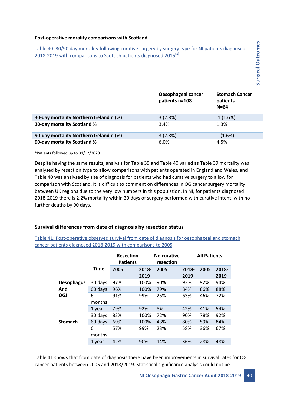#### **Post-operative morality comparisons with Scotland**

Table 40: 30/90 day mortality following curative surgery by surgery type for NI patients diagnosed 2018-2019 with comparisons to Scottish patients diagnosed 2015<sup>(3)</sup>

|                                         | Oesophageal cancer<br>patients n=108 | <b>Stomach Cancer</b><br>patients<br>$N = 64$ |
|-----------------------------------------|--------------------------------------|-----------------------------------------------|
| 30-day mortality Northern Ireland n (%) | 3(2.8%)                              | 1(1.6%)                                       |
| 30-day mortality Scotland %             | 3.4%                                 | 1.3%                                          |
| 90-day mortality Northern Ireland n (%) | 3(2.8%)                              | 1(1.6%)                                       |
| 90-day mortality Scotland %             | 6.0%                                 | 4.5%                                          |

\*Patients followed up to 31/12/2020

Despite having the same results, analysis for Table 39 and Table 40 varied as Table 39 mortality was analysed by resection type to allow comparisons with patients operated in England and Wales, and Table 40 was analysed by site of diagnosis for patients who had curative surgery to allow for comparison with Scotland. It is difficult to comment on differences in OG cancer surgery mortality between UK regions due to the very low numbers in this population. In NI, for patients diagnosed 2018-2019 there is 2.2% mortality within 30 days of surgery performed with curative intent, with no further deaths by 90 days.

# **Survival differences from date of diagnosis by resection status**

Table 41: Post-operative observed survival from date of diagnosis for oesophageal and stomach cancer patients diagnosed 2018-2019 with comparisons to 2005

|                   |             | <b>Resection</b><br><b>Patients</b> |               | No curative<br>resection |               | <b>All Patients</b> |               |
|-------------------|-------------|-------------------------------------|---------------|--------------------------|---------------|---------------------|---------------|
|                   | <b>Time</b> | 2005                                | 2018-<br>2019 | 2005                     | 2018-<br>2019 | 2005                | 2018-<br>2019 |
| <b>Oesophagus</b> | 30 days     | 97%                                 | 100%          | 90%                      | 93%           | 92%                 | 94%           |
| And               | 60 days     | 96%                                 | 100%          | 79%                      | 84%           | 86%                 | 88%           |
| OGJ               | 6           | 91%                                 | 99%           | 25%                      | 63%           | 46%                 | 72%           |
|                   | months      |                                     |               |                          |               |                     |               |
|                   | 1 year      | 79%                                 | 92%           | 8%                       | 42%           | 41%                 | 54%           |
|                   | 30 days     | 83%                                 | 100%          | 72%                      | 90%           | 78%                 | 92%           |
| <b>Stomach</b>    | 60 days     | 69%                                 | 100%          | 43%                      | 80%           | 59%                 | 84%           |
|                   | 6           | 57%                                 | 99%           | 23%                      | 58%           | 36%                 | 67%           |
|                   | months      |                                     |               |                          |               |                     |               |
|                   | 1 year      | 42%                                 | 90%           | 14%                      | 36%           | 28%                 | 48%           |

Table 41 shows that from date of diagnosis there have been improvements in survival rates for OG cancer patients between 2005 and 2018/2019. Statistical significance analysis could not be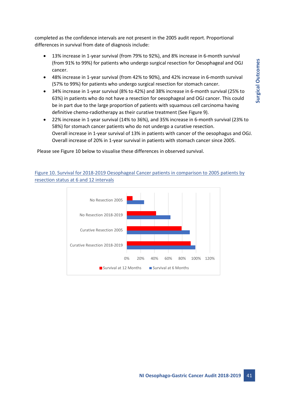completed as the confidence intervals are not present in the 2005 audit report. Proportional differences in survival from date of diagnosis include:

- 13% increase in 1-year survival (from 79% to 92%), and 8% increase in 6-month survival (from 91% to 99%) for patients who undergo surgical resection for Oesophageal and OGJ cancer.
- 48% increase in 1-year survival (from 42% to 90%), and 42% increase in 6-month survival (57% to 99%) for patients who undergo surgical resection for stomach cancer.
- 34% increase in 1-year survival (8% to 42%) and 38% increase in 6-month survival (25% to 63%) in patients who do not have a resection for oesophageal and OGJ cancer. This could be in part due to the large proportion of patients with squamous cell carcinoma having definitive chemo-radiotherapy as their curative treatment (See Figure 9).
- 22% increase in 1-year survival (14% to 36%), and 35% increase in 6-month survival (23% to 58%) for stomach cancer patients who do not undergo a curative resection. Overall increase in 1-year survival of 13% in patients with cancer of the oesophagus and OGJ. Overall increase of 20% in 1-year survival in patients with stomach cancer since 2005.

Please see Figure 10 below to visualise these differences in observed survival.

Figure 10. Survival for 2018-2019 Oesophageal Cancer patients in comparison to 2005 patients by resection status at 6 and 12 intervals

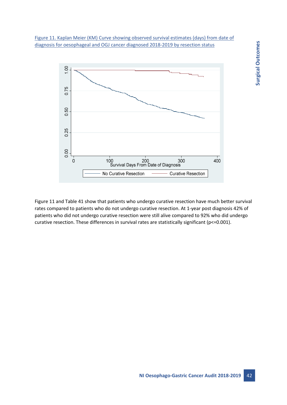





Figure 11 and Table 41 show that patients who undergo curative resection have much better survival rates compared to patients who do not undergo curative resection. At 1-year post diagnosis 42% of patients who did not undergo curative resection were still alive compared to 92% who did undergo curative resection. These differences in survival rates are statistically significant (p<=0.001).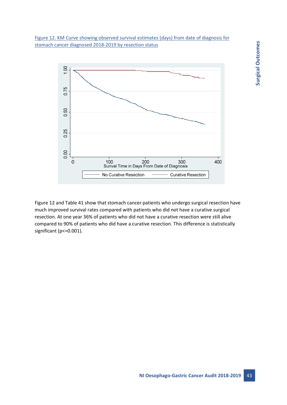



Figure 12 and Table 41 show that stomach cancer patients who undergo surgical resection have much improved survival rates compared with patients who did not have a curative surgical resection. At one year 36% of patients who did not have a curative resection were still alive compared to 90% of patients who did have a curative resection. This difference is statistically significant (p <= 0.001).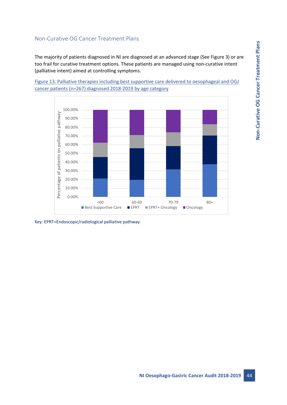# Non-Curative OG Cancer Treatment Plans

The majority of patients diagnosed in NI are diagnosed at an advanced stage (See Figure 3) or are too frail for curative treatment options. These patients are managed using non-curative intent (palliative intent) aimed at controlling symptoms.



Figure 13. Palliative therapies including best supportive care delivered to oesophageal and OGJ cancer patients (n=267) diagnosed 2018-2019 by age category

Key: EPRT=Endoscopic/radiological palliative pathway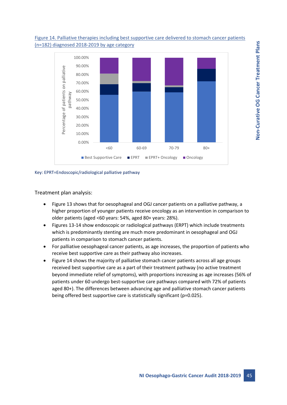# Figure 14. Palliative therapies including best supportive care delivered to stomach cancer patients (n=182) diagnosed 2018-2019 by age category



Key: EPRT=Endoscopic/radiological palliative pathway

Treatment plan analysis:

- Figure 13 shows that for oesophageal and OGJ cancer patients on a palliative pathway, a higher proportion of younger patients receive oncology as an intervention in comparison to older patients (aged <60 years: 54%, aged 80+ years: 28%).
- Figures 13-14 show endoscopic or radiological pathways (ERPT) which include treatments which is predominantly stenting are much more predominant in oesophageal and OGJ patients in comparison to stomach cancer patients.
- For palliative oesophageal cancer patients, as age increases, the proportion of patients who receive best supportive care as their pathway also increases.
- Figure 14 shows the majority of palliative stomach cancer patients across all age groups received best supportive care as a part of their treatment pathway (no active treatment beyond immediate relief of symptoms), with proportions increasing as age increases (56% of patients under 60 undergo best-supportive care pathways compared with 72% of patients aged 80+). The differences between advancing age and palliative stomach cancer patients being offered best supportive care is statistically significant (p=0.025).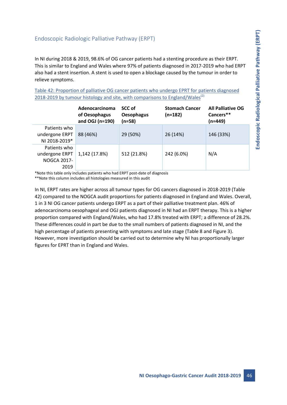# Endoscopic Radiologic Palliative Pathway (ERPT)

In NI during 2018 & 2019, 98.6% of OG cancer patients had a stenting procedure as their ERPT. This is similar to England and Wales where 97% of patients diagnosed in 2017-2019 who had ERPT also had a stent insertion. A stent is used to open a blockage caused by the tumour in order to relieve symptoms.

Table 42: Proportion of palliative OG cancer patients who undergo EPRT for patients diagnosed 2018-2019 by tumour histology and site, with comparisons to England/Wales<sup>(2)</sup>

|                                                              | Adenocarcinoma<br>of Oesophagus<br>and OGJ (n=190) | SCC of<br>Oesophagus<br>$(n=58)$ | <b>Stomach Cancer</b><br>$(n=182)$ | <b>All Palliative OG</b><br>Cancers**<br>(n=449) |
|--------------------------------------------------------------|----------------------------------------------------|----------------------------------|------------------------------------|--------------------------------------------------|
| Patients who<br>undergone ERPT<br>NI 2018-2019*              | 88 (46%)                                           | 29 (50%)                         | 26 (14%)                           | 146 (33%)                                        |
| Patients who<br>undergone ERPT<br><b>NOGCA 2017-</b><br>2019 | 1,142 (17.8%)                                      | 512 (21.8%)                      | 242 (6.0%)                         | N/A                                              |

\*Note this table only includes patients who had ERPT post-date of diagnosis

\*\*Note this column includes all histologies measured in this audit

In NI, ERPT rates are higher across all tumour types for OG cancers diagnosed in 2018-2019 (Table 42) compared to the NOGCA audit proportions for patients diagnosed in England and Wales. Overall, 1 in 3 NI OG cancer patients undergo ERPT as a part of their palliative treatment plan. 46% of adenocarcinoma oesophageal and OGJ patients diagnosed in NI had an ERPT therapy. This is a higher proportion compared with England/Wales, who had 17.8% treated with ERPT; a difference of 28.2%. These differences could in part be due to the small numbers of patients diagnosed in NI, and the high percentage of patients presenting with symptoms and late stage (Table 8 and Figure 3). However, more investigation should be carried out to determine why NI has proportionally larger figures for EPRT than in England and Wales.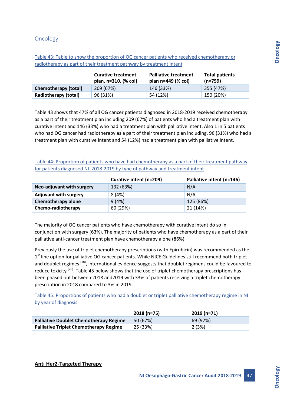# Oncology

|                             | <b>Curative treatment</b><br>plan. n=310, (% col) | <b>Palliative treatment</b><br>plan n=449 (% col) | <b>Total patients</b><br>$(n=759)$ |
|-----------------------------|---------------------------------------------------|---------------------------------------------------|------------------------------------|
| <b>Chemotherapy (total)</b> | 209 (67%)                                         | 146 (33%)                                         | 355 (47%)                          |
| <b>Radiotherapy (total)</b> | 96 (31%)                                          | 54 (12%)                                          | 150 (20%)                          |

Table 43: Table to show the proportion of OG cancer patients who received chemotherapy or radiotherapy as part of their treatment pathway by treatment intent

Table 43 shows that 47% of all OG cancer patients diagnosed in 2018-2019 received chemotherapy as a part of their treatment plan including 209 (67%) of patients who had a treatment plan with curative intent and 146 (33%) who had a treatment plan with palliative intent. Also 1 in 5 patients who had OG cancer had radiotherapy as a part of their treatment plan including, 96 (31%) who had a treatment plan with curative intent and 54 (12%) had a treatment plan with palliative intent.

Table 44: Proportion of patients who have had chemotherapy as a part of their treatment pathway for patients diagnosed NI 2018-2019 by type of pathway and treatment intent

|                              | Curative intent (n=209) | Palliative intent (n=146) |
|------------------------------|-------------------------|---------------------------|
| Neo-adjuvant with surgery    | 132 (63%)               | N/A                       |
| <b>Adjuvant with surgery</b> | 8(4%)                   | N/A                       |
| Chemotherapy alone           | 9(4%)                   | 125 (86%)                 |
| Chemo-radiotherapy           | 60 (29%)                | 21 (14%)                  |

The majority of OG cancer patients who have chemotherapy with curative intent do so in conjunction with surgery (63%). The majority of patients who have chemotherapy as a part of their palliative anti-cancer treatment plan have chemotherapy alone (86%).

Previously the use of triplet chemotherapy prescriptions (with Epirubicin) was recommended as the 1<sup>st</sup> line option for palliative OG cancer patients. While NICE Guidelines still recommend both triplet and doublet regimes <sup>(18)</sup>, international evidence suggests that doublet regimens could be favoured to reduce toxicity<sup>(20)</sup>. Table 45 below shows that the use of triplet chemotherapy prescriptions has been phased out between 2018 and2019 with 33% of patients receiving a triplet chemotherapy prescription in 2018 compared to 3% in 2019.

Table 45: Proportions of patients who had a doublet or triplet palliative chemotherapy regime in NI by year of diagnosis

|                                               | $2018(n=75)$ | $2019(n=71)$ |
|-----------------------------------------------|--------------|--------------|
| <b>Palliative Doublet Chemotherapy Regime</b> | 50 (67%)     | 69 (97%)     |
| <b>Palliative Triplet Chemotherapy Regime</b> | 25 (33%)     | 2(3%)        |

# **Anti Her2-Targeted Therapy**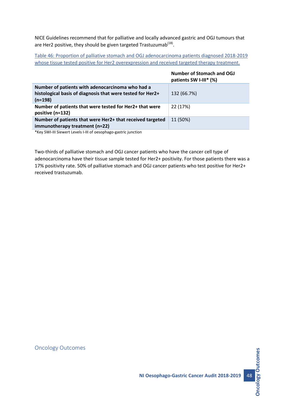NICE Guidelines recommend that for palliative and locally advanced gastric and OGJ tumours that are Her2 positive, they should be given targeted Trastuzumab<sup>(18)</sup>.

Table 46: Proportion of palliative stomach and OGJ adenocarcinoma patients diagnosed 2018-2019 whose tissue tested positive for Her2 overexpression and received targeted therapy treatment.

|                                                                                                                             | Number of Stomach and OGJ<br>patients SW I-III* (%) |
|-----------------------------------------------------------------------------------------------------------------------------|-----------------------------------------------------|
| Number of patients with adenocarcinoma who had a<br>histological basis of diagnosis that were tested for Her2+<br>$(n=198)$ | 132 (66.7%)                                         |
| Number of patients that were tested for Her2+ that were<br>positive (n=132)                                                 | 22 (17%)                                            |
| Number of patients that were Her2+ that received targeted<br>immunotherapy treatment (n=22)                                 | 11 (50%)                                            |
| *Key SWI-III Siewert Levels I-III of oesophago-gastric junction                                                             |                                                     |

Two-thirds of palliative stomach and OGJ cancer patients who have the cancer cell type of adenocarcinoma have their tissue sample tested for Her2+ positivity. For those patients there was a 17% positivity rate. 50% of palliative stomach and OGJ cancer patients who test positive for Her2+ received trastuzumab.

Oncology Outcomes

**O**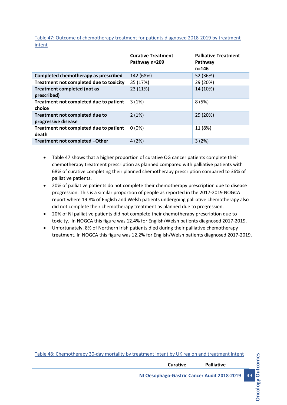Table 47: Outcome of chemotherapy treatment for patients diagnosed 2018-2019 by treatment intent

|                                                       | <b>Curative Treatment</b><br>Pathway n=209 | <b>Palliative Treatment</b><br>Pathway<br>$n = 146$ |
|-------------------------------------------------------|--------------------------------------------|-----------------------------------------------------|
| Completed chemotherapy as prescribed                  | 142 (68%)                                  | 52 (36%)                                            |
| Treatment not completed due to toxicity               | 35 (17%)                                   | 29 (20%)                                            |
| <b>Treatment completed (not as</b><br>prescribed)     | 23 (11%)                                   | 14 (10%)                                            |
| Treatment not completed due to patient<br>choice      | 3(1%)                                      | 8(5%)                                               |
| Treatment not completed due to<br>progressive disease | 2(1%)                                      | 29 (20%)                                            |
| Treatment not completed due to patient<br>death       | $0(0\%)$                                   | 11 (8%)                                             |
| Treatment not completed -Other                        | 4(2%)                                      | 3(2%)                                               |

- Table 47 shows that a higher proportion of curative OG cancer patients complete their chemotherapy treatment prescription as planned compared with palliative patients with 68% of curative completing their planned chemotherapy prescription compared to 36% of palliative patients.
- 20% of palliative patients do not complete their chemotherapy prescription due to disease progression. This is a similar proportion of people as reported in the 2017-2019 NOGCA report where 19.8% of English and Welsh patients undergoing palliative chemotherapy also did not complete their chemotherapy treatment as planned due to progression.
- 20% of NI palliative patients did not complete their chemotherapy prescription due to toxicity. In NOGCA this figure was 12.4% for English/Welsh patients diagnosed 2017-2019.
- Unfortunately, 8% of Northern Irish patients died during their palliative chemotherapy treatment. In NOGCA this figure was 12.2% for English/Welsh patients diagnosed 2017-2019.

| Table 48: Chemotherapy 30-day mortality by treatment intent by UK region and treatment intent | n<br>Ö               |  |
|-----------------------------------------------------------------------------------------------|----------------------|--|
| <b>Palliative</b><br><b>Curative</b>                                                          |                      |  |
| NI Oesophago-Gastric Cancer Audit 2018-2019                                                   | 49<br>O<br><b>60</b> |  |

**O**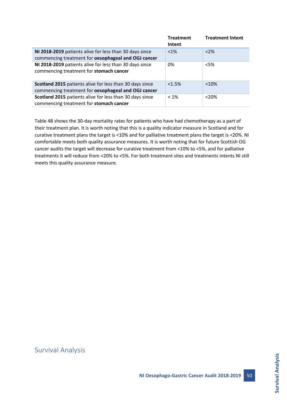|                                                                                                                 | <b>Treatment</b><br>Intent | <b>Treatment Intent</b> |
|-----------------------------------------------------------------------------------------------------------------|----------------------------|-------------------------|
| NI 2018-2019 patients alive for less than 30 days since<br>commencing treatment for oesophageal and OGJ cancer  | $< 1\%$                    | $<$ 2%                  |
| NI 2018-2019 patients alive for less than 30 days since<br>commencing treatment for stomach cancer              | 0%                         | $<$ 5%                  |
| Scotland 2015 patients alive for less than 30 days since<br>commencing treatment for oesophageal and OGJ cancer | <1.5%                      | $<10\%$                 |
| Scotland 2015 patients alive for less than 30 days since<br>commencing treatment for stomach cancer             | $< 1\%$                    | $<20\%$                 |

Table 48 shows the 30-day mortality rates for patients who have had chemotherapy as a part of their treatment plan. It is worth noting that this is a quality indicator measure in Scotland and for curative treatment plans the target is <10% and for palliative treatment plans the target is <20%. NI comfortable meets both quality assurance measures. It is worth noting that for future Scottish OG cancer audits the target will decrease for curative treatment from <10% to <5%, and for palliative treatments it will reduce from <20% to <5%. For both treatment sites and treatments intents NI still meets this quality assurance measure.

Survival Analysis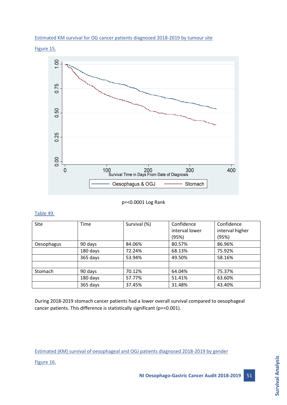#### Estimated KM survival for OG cancer patients diagnosed 2018-2019 by tumour site

#### Figure 15.



p=<0.0001 Log Rank

# Table 49.

| Site       | <b>Time</b> | Survival (%) | Confidence<br>interval lower<br>(95%) | Confidence<br>interval higher<br>(95%) |
|------------|-------------|--------------|---------------------------------------|----------------------------------------|
| Oesophagus | 90 days     | 84.06%       | 80.57%                                | 86.96%                                 |
|            | 180 days    | 72.24%       | 68.13%                                | 75.92%                                 |
|            | 365 days    | 53.94%       | 49.50%                                | 58.16%                                 |
|            |             |              |                                       |                                        |
| Stomach    | 90 days     | 70.12%       | 64.04%                                | 75.37%                                 |
|            | 180 days    | 57.77%       | 51.41%                                | 63.60%                                 |
|            | 365 days    | 37.45%       | 31.48%                                | 43.40%                                 |

During 2018-2019 stomach cancer patients had a lower overall survival compared to oesophageal cancer patients. This difference is statistically significant (p=<0.001).

Estimated (KM) survival of oesophageal and OGJ patients diagnosed 2018-2019 by gender

Figure 16.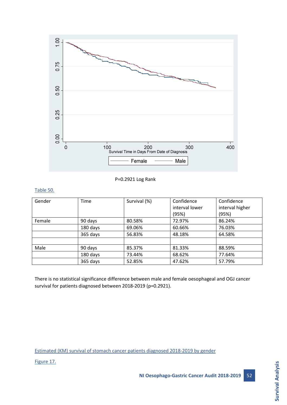

P=0.2921 Log Rank

# Table 50.

| Gender | Time     | Survival (%) | Confidence     | Confidence      |
|--------|----------|--------------|----------------|-----------------|
|        |          |              | interval lower | interval higher |
|        |          |              | (95%)          | (95%)           |
| Female | 90 days  | 80.58%       | 72.97%         | 86.24%          |
|        | 180 days | 69.06%       | 60.66%         | 76.03%          |
|        | 365 days | 56.83%       | 48.18%         | 64.58%          |
|        |          |              |                |                 |
| Male   | 90 days  | 85.37%       | 81.33%         | 88.59%          |
|        | 180 days | 73.44%       | 68.62%         | 77.64%          |
|        | 365 days | 52.85%       | 47.62%         | 57.79%          |

There is no statistical significance difference between male and female oesophageal and OGJ cancer survival for patients diagnosed between 2018-2019 (p=0.2921).

Estimated (KM) survival of stomach cancer patients diagnosed 2018-2019 by gender

Figure 17.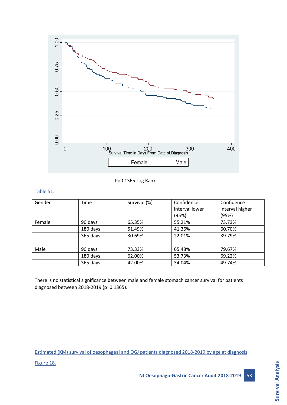

P=0.1365 Log Rank

# Table 51.

| Gender | Time     | Survival (%) | Confidence<br>interval lower<br>(95%) | Confidence<br>interval higher<br>(95%) |
|--------|----------|--------------|---------------------------------------|----------------------------------------|
| Female | 90 days  | 65.35%       | 55.21%                                | 73.73%                                 |
|        | 180 days | 51.49%       | 41.36%                                | 60.70%                                 |
|        | 365 days | 30.69%       | 22.01%                                | 39.79%                                 |
|        |          |              |                                       |                                        |
| Male   | 90 days  | 73.33%       | 65.48%                                | 79.67%                                 |
|        | 180 days | 62.00%       | 53.73%                                | 69.22%                                 |
|        | 365 days | 42.00%       | 34.04%                                | 49.74%                                 |

There is no statistical significance between male and female stomach cancer survival for patients diagnosed between 2018-2019 (p=0.1365).

Estimated (KM) survival of oesophageal and OGJ patients diagnosed 2018-2019 by age at diagnosis

Figure 18.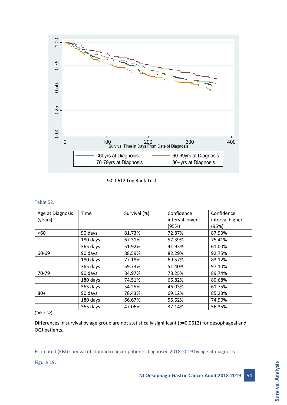

P=0.0612 Log Rank Test

#### Table 52.

| Age at Diagnosis<br>(years) | Time     | Survival (%) | Confidence<br>interval lower<br>(95%) | Confidence<br>interval higher<br>(95%) |
|-----------------------------|----------|--------------|---------------------------------------|----------------------------------------|
| <60                         | 90 days  | 81.73%       | 72.87%                                | 87.93%                                 |
|                             | 180 days | 67.31%       | 57.39%                                | 75.41%                                 |
|                             | 365 days | 51.92%       | 41.93%                                | 61.00%                                 |
| 60-69                       | 90 days  | 88.59%       | 82.29%                                | 92.75%                                 |
|                             | 180 days | 77.18%       | 69.57%                                | 83.12%                                 |
|                             | 365 days | 59.73%       | 51.40%                                | 97.10%                                 |
| 70-79                       | 90 days  | 84.97%       | 78.25%                                | 89.74%                                 |
|                             | 180 days | 74.51%       | 66.82%                                | 80.68%                                 |
|                             | 365 days | 54.25%       | 46.03%                                | 61.75%                                 |
| $80 +$                      | 90 days  | 78.43%       | 69.12%                                | 85.23%                                 |
|                             | 180 days | 66.67%       | 56.62%                                | 74.90%                                 |
|                             | 365 days | 47.06%       | 37.14%                                | 56.35%                                 |

# (Table 52)

Differences in survival by age group are not statistically significant (p=0.0612) for oesophageal and OGJ patients.

Estimated (KM) survival of stomach cancer patients diagnosed 2018-2019 by age at diagnosis

Figure 19.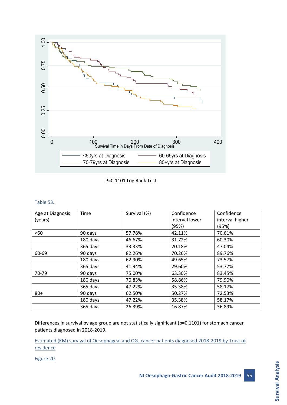

P=0.1101 Log Rank Test

#### Table 53.

| Age at Diagnosis | Time     | Survival (%) | Confidence     | Confidence      |
|------------------|----------|--------------|----------------|-----------------|
| (years)          |          |              | interval lower | interval higher |
|                  |          |              | (95%)          | (95%)           |
| <60              | 90 days  | 57.78%       | 42.11%         | 70.61%          |
|                  | 180 days | 46.67%       | 31.72%         | 60.30%          |
|                  | 365 days | 33.33%       | 20.18%         | 47.04%          |
| 60-69            | 90 days  | 82.26%       | 70.26%         | 89.76%          |
|                  | 180 days | 62.90%       | 49.65%         | 73.57%          |
|                  | 365 days | 41.94%       | 29.60%         | 53.77%          |
| 70-79            | 90 days  | 75.00%       | 63.30%         | 83.45%          |
|                  | 180 days | 70.83%       | 58.86%         | 79.90%          |
|                  | 365 days | 47.22%       | 35.38%         | 58.17%          |
| $80+$            | 90 days  | 62.50%       | 50.27%         | 72.53%          |
|                  | 180 days | 47.22%       | 35.38%         | 58.17%          |
|                  | 365 days | 26.39%       | 16.87%         | 36.89%          |

Differences in survival by age group are not statistically significant (p=0.1101) for stomach cancer patients diagnosed in 2018-2019.

Estimated (KM) survival of Oesophageal and OGJ cancer patients diagnosed 2018-2019 by Trust of residence

Figure 20.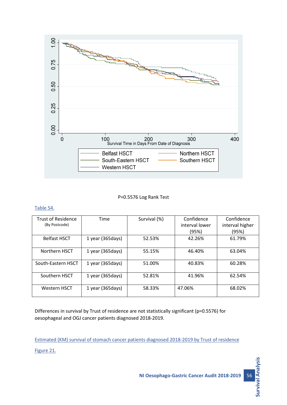

#### P=0.5576 Log Rank Test

#### Table 54.

| <b>Trust of Residence</b> | Time              | Survival (%) | Confidence     | Confidence      |
|---------------------------|-------------------|--------------|----------------|-----------------|
| (By Postcode)             |                   |              | interval lower | interval higher |
|                           |                   |              | (95%)          | (95%)           |
| <b>Belfast HSCT</b>       | 1 year (365 days) | 52.53%       | 42.26%         | 61.79%          |
| Northern HSCT             | 1 year (365 days) | 55.15%       | 46.40%         | 63.04%          |
| South-Eastern HSCT        | 1 year (365 days) | 51.00%       | 40.83%         | 60.28%          |
| Southern HSCT             | 1 year (365 days) | 52.81%       | 41.96%         | 62.54%          |
| <b>Western HSCT</b>       | 1 year (365 days) | 58.33%       | 47.06%         | 68.02%          |

Differences in survival by Trust of residence are not statistically significant (p=0.5576) for oesophageal and OGJ cancer patients diagnosed 2018-2019.

Estimated (KM) survival of stomach cancer patients diagnosed 2018-2019 by Trust of residence Figure 21.

**Surviv**

**al A nalysis**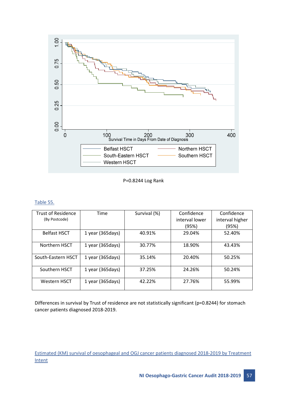

P=0.8244 Log Rank

#### Table 55.

| <b>Trust of Residence</b> | Time              | Survival (%) | Confidence     | Confidence      |
|---------------------------|-------------------|--------------|----------------|-----------------|
| (By Postcode)             |                   |              | interval lower | interval higher |
|                           |                   |              | (95%)          | (95%)           |
| <b>Belfast HSCT</b>       | 1 year (365 days) | 40.91%       | 29.04%         | 52.40%          |
| Northern HSCT             | 1 year (365 days) | 30.77%       | 18.90%         | 43.43%          |
| South-Eastern HSCT        | 1 year (365 days) | 35.14%       | 20.40%         | 50.25%          |
| Southern HSCT             | 1 year (365 days) | 37.25%       | 24.26%         | 50.24%          |
| <b>Western HSCT</b>       | 1 year (365 days) | 42.22%       | 27.76%         | 55.99%          |

Differences in survival by Trust of residence are not statistically significant (p=0.8244) for stomach cancer patients diagnosed 2018-2019.

Estimated (KM) survival of oesophageal and OGJ cancer patients diagnosed 2018-2019 by Treatment Intent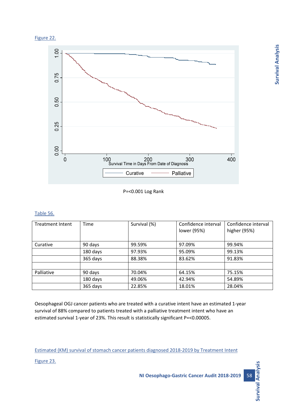



P=<0.001 Log Rank

# Table 56.

| <b>Treatment Intent</b> | Time     | Survival (%) | Confidence interval<br>lower (95%) | Confidence interval<br>higher (95%) |
|-------------------------|----------|--------------|------------------------------------|-------------------------------------|
| Curative                | 90 days  | 99.59%       | 97.09%                             | 99.94%                              |
|                         | 180 days | 97.93%       | 95.09%                             | 99.13%                              |
|                         | 365 days | 88.38%       | 83.62%                             | 91.83%                              |
|                         |          |              |                                    |                                     |
| Palliative              | 90 days  | 70.04%       | 64.15%                             | 75.15%                              |
|                         | 180 days | 49.06%       | 42.94%                             | 54.89%                              |
|                         | 365 days | 22.85%       | 18.01%                             | 28.04%                              |

Oesophageal OGJ cancer patients who are treated with a curative intent have an estimated 1-year survival of 88% compared to patients treated with a palliative treatment intent who have an estimated survival 1-year of 23%. This result is statistically significant P=<0.00005.

Estimated (KM) survival of stomach cancer patients diagnosed 2018-2019 by Treatment Intent

Figure 23.

**Surviv**

**al A nalysis**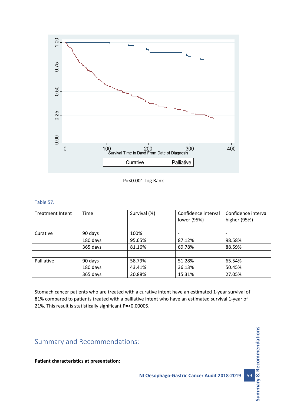

P=<0.001 Log Rank

#### Table 57.

| <b>Treatment Intent</b> | Time     | Survival (%) | Confidence interval<br>lower (95%) | Confidence interval<br>higher (95%) |
|-------------------------|----------|--------------|------------------------------------|-------------------------------------|
| Curative                | 90 days  | 100%         |                                    |                                     |
|                         | 180 days | 95.65%       | 87.12%                             | 98.58%                              |
|                         | 365 days | 81.16%       | 69.78%                             | 88.59%                              |
|                         |          |              |                                    |                                     |
| Palliative              | 90 days  | 58.79%       | 51.28%                             | 65.54%                              |
|                         | 180 days | 43.41%       | 36.13%                             | 50.45%                              |
|                         | 365 days | 20.88%       | 15.31%                             | 27.05%                              |

Stomach cancer patients who are treated with a curative intent have an estimated 1-year survival of 81% compared to patients treated with a palliative intent who have an estimated survival 1-year of 21%. This result is statistically significant P=<0.00005.

# Summary and Recommendations:

**Patient characteristics at presentation:**

**Summary & Reco m**

**mendatio**

**ns**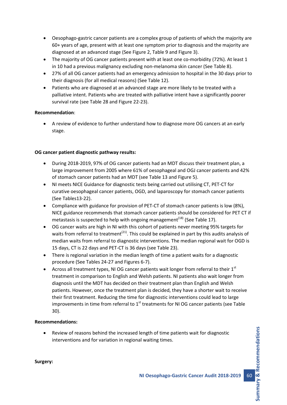- Oesophago-gastric cancer patients are a complex group of patients of which the majority are 60+ years of age, present with at least one symptom prior to diagnosis and the majority are diagnosed at an advanced stage (See Figure 2, Table 9 and Figure 3).
- The majority of OG cancer patients present with at least one co-morbidity (72%). At least 1 in 10 had a previous malignancy excluding non-melanoma skin cancer (See Table 8).
- 27% of all OG cancer patients had an emergency admission to hospital in the 30 days prior to their diagnosis (for all medical reasons) (See Table 12).
- Patients who are diagnosed at an advanced stage are more likely to be treated with a palliative intent. Patients who are treated with palliative intent have a significantly poorer survival rate (see Table 28 and Figure 22-23).

# **Recommendation**:

 A review of evidence to further understand how to diagnose more OG cancers at an early stage.

#### **OG cancer patient diagnostic pathway results:**

- During 2018-2019, 97% of OG cancer patients had an MDT discuss their treatment plan, a large improvement from 2005 where 61% of oesophageal and OGJ cancer patients and 42% of stomach cancer patients had an MDT (see Table 13 and Figure 5).
- NI meets NICE Guidance for diagnostic tests being carried out utilising CT, PET-CT for curative oesophageal cancer patients, OGD, and laparoscopy for stomach cancer patients (See Tables13-22).
- Compliance with guidance for provision of PET-CT of stomach cancer patients is low (8%), NICE guidance recommends that stomach cancer patients should be considered for PET CT if metastasis is suspected to help with ongoing management<sup> $(18)$ </sup> (See Table 17).
- OG cancer waits are high in NI with this cohort of patients never meeting 95% targets for waits from referral to treatment<sup>(21)</sup>. This could be explained in part by this audits analysis of median waits from referral to diagnostic interventions. The median regional wait for OGD is 15 days, CT is 22 days and PET-CT is 36 days (see Table 23).
- There is regional variation in the median length of time a patient waits for a diagnostic procedure (See Tables 24-27 and Figures 6-7).
- Across all treatment types, NI OG cancer patients wait longer from referral to their  $1<sup>st</sup>$ treatment in comparison to English and Welsh patients. NI patients also wait longer from diagnosis until the MDT has decided on their treatment plan than English and Welsh patients. However, once the treatment plan is decided, they have a shorter wait to receive their first treatment. Reducing the time for diagnostic interventions could lead to large improvements in time from referral to  $1<sup>st</sup>$  treatments for NI OG cancer patients (see Table 30).

#### **Recommendations:**

 Review of reasons behind the increased length of time patients wait for diagnostic interventions and for variation in regional waiting times.

**Sum**

#### **Surgery:**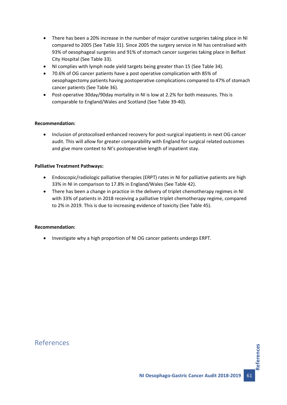- There has been a 20% increase in the number of major curative surgeries taking place in NI compared to 2005 (See Table 31). Since 2005 the surgery service in NI has centralised with 93% of oesophageal surgeries and 91% of stomach cancer surgeries taking place in Belfast City Hospital (See Table 33).
- NI complies with lymph node yield targets being greater than 15 (See Table 34).
- 70.6% of OG cancer patients have a post operative complication with 85% of oesophagectomy patients having postoperative complications compared to 47% of stomach cancer patients (See Table 36).
- Post-operative 30day/90day mortality in NI is low at 2.2% for both measures. This is comparable to England/Wales and Scotland (See Table 39-40).

#### **Recommendation:**

• Inclusion of protocolised enhanced recovery for post-surgical inpatients in next OG cancer audit. This will allow for greater comparability with England for surgical related outcomes and give more context to NI's postoperative length of inpatient stay.

#### **Palliative Treatment Pathways:**

- Endoscopic/radiologic palliative therapies (ERPT) rates in NI for palliative patients are high 33% in NI in comparison to 17.8% in England/Wales (See Table 42).
- There has been a change in practice in the delivery of triplet chemotherapy regimes in NI with 33% of patients in 2018 receiving a palliative triplet chemotherapy regime, compared to 2% in 2019. This is due to increasing evidence of toxicity (See Table 45).

#### **Recommendation:**

• Investigate why a high proportion of NI OG cancer patients undergo ERPT.

# References

**Refere**

**nces**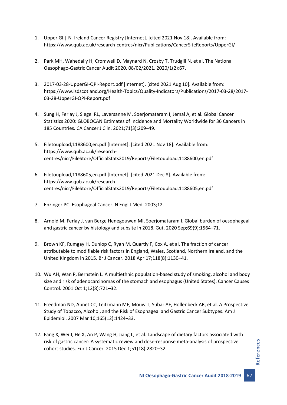- 1. Upper GI | N*.* Ireland Cancer Registry [Internet]. [cited 2021 Nov 18]. Available from: https://www.qub.ac.uk/research-centres/nicr/Publications/CancerSiteReports/UpperGI/
- 2. Park MH, Wahedally H, Cromwell D, Maynard N, Crosby T, Trudgill N, et al. The National Oesophago-Gastric Cancer Audit 2020. 08/02/2021. 2020/1(2):67.
- 3. 2017-03-28-UpperGI-QPI-Report.pdf [Internet]. [cited 2021 Aug 10]. Available from: https://www.isdscotland.org/Health-Topics/Quality-Indicators/Publications/2017-03-28/2017- 03-28-UpperGI-QPI-Report.pdf
- 4. Sung H, Ferlay J, Siegel RL, Laversanne M, Soerjomataram I, Jemal A, et al. Global Cancer Statistics 2020: GLOBOCAN Estimates of Incidence and Mortality Worldwide for 36 Cancers in 185 Countries. CA Cancer J Clin. 2021;71(3):209–49.
- 5. Filetoupload,1188600,en.pdf [Internet]. [cited 2021 Nov 18]. Available from: https://www.qub.ac.uk/researchcentres/nicr/FileStore/OfficialStats2019/Reports/Filetoupload,1188600,en.pdf
- 6. Filetoupload,1188605,en.pdf [Internet]. [cited 2021 Dec 8]. Available from: https://www.qub.ac.uk/researchcentres/nicr/FileStore/OfficialStats2019/Reports/Filetoupload,1188605,en.pdf
- 7. Enzinger PC. Esophageal Cancer. N Engl J Med. 2003;12.
- 8. Arnold M, Ferlay J, van Berge Henegouwen MI, Soerjomataram I. Global burden of oesophageal and gastric cancer by histology and subsite in 2018. Gut. 2020 Sep;69(9):1564–71.
- 9. Brown KF, Rumgay H, Dunlop C, Ryan M, Quartly F, Cox A, et al. The fraction of cancer attributable to modifiable risk factors in England, Wales, Scotland, Northern Ireland, and the United Kingdom in 2015. Br J Cancer. 2018 Apr 17;118(8):1130–41.
- 10. Wu AH, Wan P, Bernstein L. A multiethnic population-based study of smoking, alcohol and body size and risk of adenocarcinomas of the stomach and esophagus (United States). Cancer Causes Control. 2001 Oct 1;12(8):721–32.
- 11. Freedman ND, Abnet CC, Leitzmann MF, Mouw T, Subar AF, Hollenbeck AR, et al. A Prospective Study of Tobacco, Alcohol, and the Risk of Esophageal and Gastric Cancer Subtypes. Am J Epidemiol. 2007 Mar 10;165(12):1424–33.
- 12. Fang X, Wei J, He X, An P, Wang H, Jiang L, et al. Landscape of dietary factors associated with risk of gastric cancer: A systematic review and dose-response meta-analysis of prospective cohort studies. Eur J Cancer. 2015 Dec 1;51(18):2820–32.